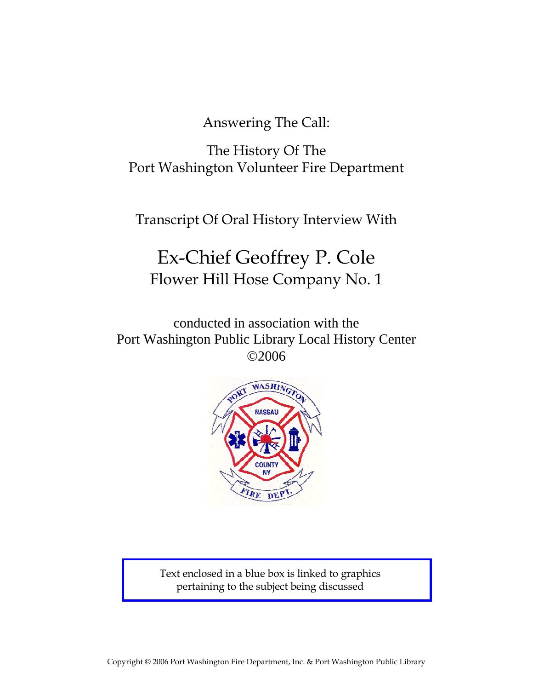Answering The Call:

The History Of The Port Washington Volunteer Fire Department

Transcript Of Oral History Interview With

# Ex-Chief Geoffrey P. Cole Flower Hill Hose Company No. 1

conducted in association with the Port Washington Public Library Local History Center ©2006



Text enclosed in a blue box is linked to graphics pertaining to the subject being discussed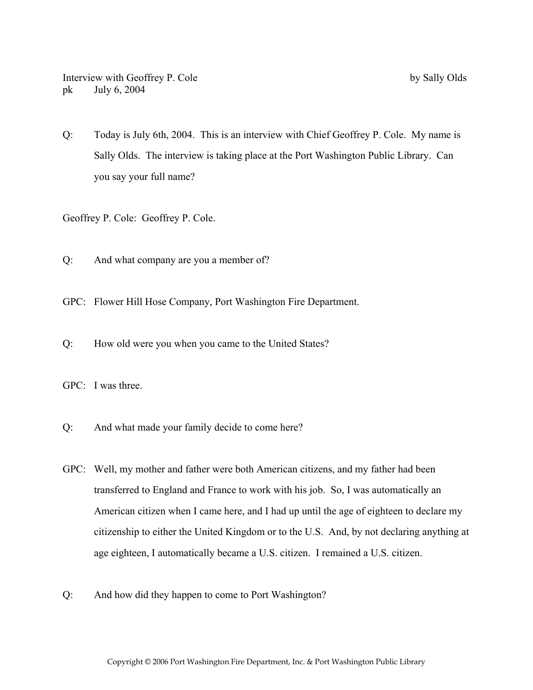Q: Today is July 6th, 2004. This is an interview with Chief Geoffrey P. Cole. My name is Sally Olds. The interview is taking place at the Port Washington Public Library. Can you say your full name?

Geoffrey P. Cole: Geoffrey P. Cole.

Q: And what company are you a member of?

GPC: Flower Hill Hose Company, Port Washington Fire Department.

Q: How old were you when you came to the United States?

GPC: I was three.

- Q: And what made your family decide to come here?
- GPC: Well, my mother and father were both American citizens, and my father had been transferred to England and France to work with his job. So, I was automatically an American citizen when I came here, and I had up until the age of eighteen to declare my citizenship to either the United Kingdom or to the U.S. And, by not declaring anything at age eighteen, I automatically became a U.S. citizen. I remained a U.S. citizen.
- Q: And how did they happen to come to Port Washington?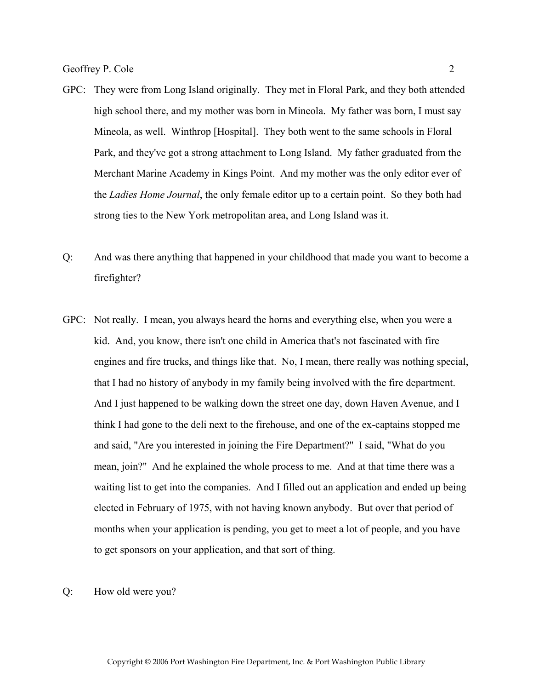- GPC: They were from Long Island originally. They met in Floral Park, and they both attended high school there, and my mother was born in Mineola. My father was born, I must say Mineola, as well. Winthrop [Hospital]. They both went to the same schools in Floral Park, and they've got a strong attachment to Long Island. My father graduated from the Merchant Marine Academy in Kings Point. And my mother was the only editor ever of the *Ladies Home Journal*, the only female editor up to a certain point. So they both had strong ties to the New York metropolitan area, and Long Island was it.
- Q: And was there anything that happened in your childhood that made you want to become a firefighter?
- GPC: Not really. I mean, you always heard the horns and everything else, when you were a kid. And, you know, there isn't one child in America that's not fascinated with fire engines and fire trucks, and things like that. No, I mean, there really was nothing special, that I had no history of anybody in my family being involved with the fire department. And I just happened to be walking down the street one day, down Haven Avenue, and I think I had gone to the deli next to the firehouse, and one of the ex-captains stopped me and said, "Are you interested in joining the Fire Department?" I said, "What do you mean, join?" And he explained the whole process to me. And at that time there was a waiting list to get into the companies. And I filled out an application and ended up being elected in February of 1975, with not having known anybody. But over that period of months when your application is pending, you get to meet a lot of people, and you have to get sponsors on your application, and that sort of thing.

Q: How old were you?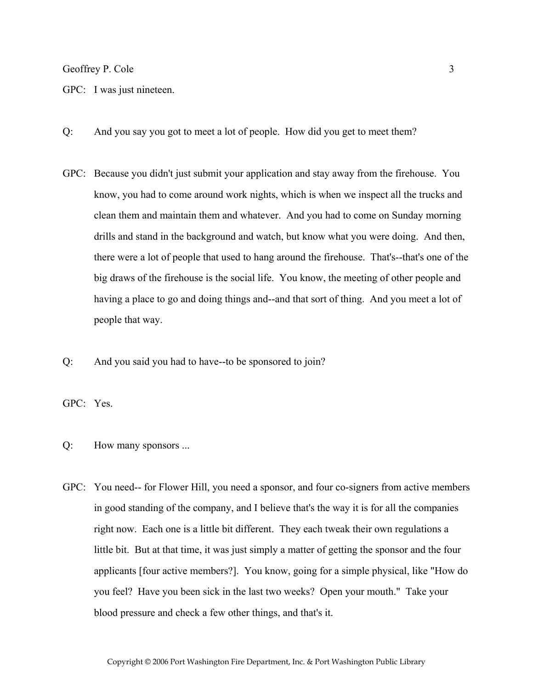GPC: I was just nineteen.

- Q: And you say you got to meet a lot of people. How did you get to meet them?
- GPC: Because you didn't just submit your application and stay away from the firehouse. You know, you had to come around work nights, which is when we inspect all the trucks and clean them and maintain them and whatever. And you had to come on Sunday morning drills and stand in the background and watch, but know what you were doing. And then, there were a lot of people that used to hang around the firehouse. That's--that's one of the big draws of the firehouse is the social life. You know, the meeting of other people and having a place to go and doing things and--and that sort of thing. And you meet a lot of people that way.
- Q: And you said you had to have--to be sponsored to join?

GPC: Yes.

- Q: How many sponsors ...
- GPC: You need-- for Flower Hill, you need a sponsor, and four co-signers from active members in good standing of the company, and I believe that's the way it is for all the companies right now. Each one is a little bit different. They each tweak their own regulations a little bit. But at that time, it was just simply a matter of getting the sponsor and the four applicants [four active members?]. You know, going for a simple physical, like "How do you feel? Have you been sick in the last two weeks? Open your mouth." Take your blood pressure and check a few other things, and that's it.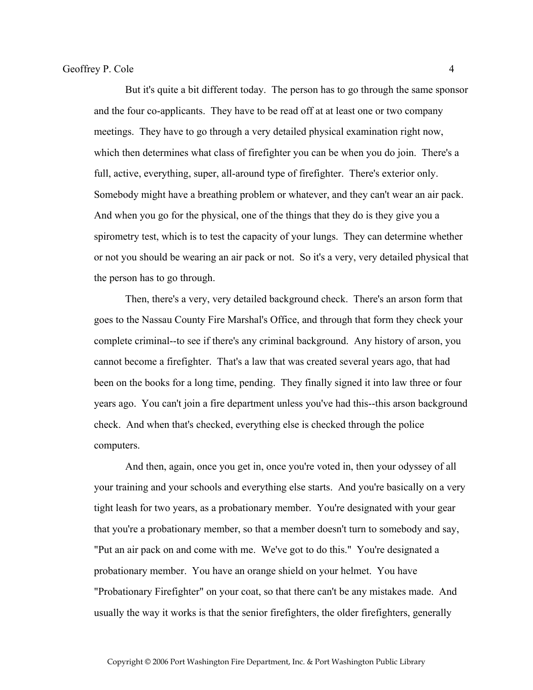But it's quite a bit different today. The person has to go through the same sponsor and the four co-applicants. They have to be read off at at least one or two company meetings. They have to go through a very detailed physical examination right now, which then determines what class of firefighter you can be when you do join. There's a full, active, everything, super, all-around type of firefighter. There's exterior only. Somebody might have a breathing problem or whatever, and they can't wear an air pack. And when you go for the physical, one of the things that they do is they give you a spirometry test, which is to test the capacity of your lungs. They can determine whether or not you should be wearing an air pack or not. So it's a very, very detailed physical that the person has to go through.

 Then, there's a very, very detailed background check. There's an arson form that goes to the Nassau County Fire Marshal's Office, and through that form they check your complete criminal--to see if there's any criminal background. Any history of arson, you cannot become a firefighter. That's a law that was created several years ago, that had been on the books for a long time, pending. They finally signed it into law three or four years ago. You can't join a fire department unless you've had this--this arson background check. And when that's checked, everything else is checked through the police computers.

And then, again, once you get in, once you're voted in, then your odyssey of all your training and your schools and everything else starts. And you're basically on a very tight leash for two years, as a probationary member. You're designated with your gear that you're a probationary member, so that a member doesn't turn to somebody and say, "Put an air pack on and come with me. We've got to do this." You're designated a probationary member. You have an orange shield on your helmet. You have "Probationary Firefighter" on your coat, so that there can't be any mistakes made. And usually the way it works is that the senior firefighters, the older firefighters, generally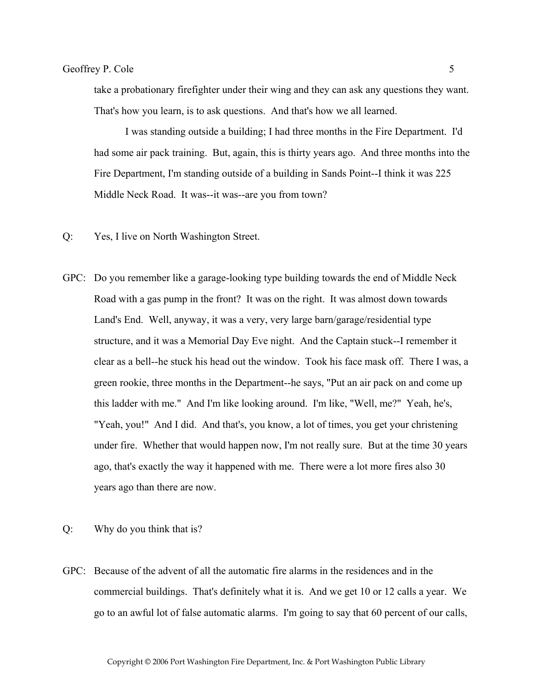take a probationary firefighter under their wing and they can ask any questions they want. That's how you learn, is to ask questions. And that's how we all learned.

 I was standing outside a building; I had three months in the Fire Department. I'd had some air pack training. But, again, this is thirty years ago. And three months into the Fire Department, I'm standing outside of a building in Sands Point--I think it was 225 Middle Neck Road. It was--it was--are you from town?

- Q: Yes, I live on North Washington Street.
- GPC: Do you remember like a garage-looking type building towards the end of Middle Neck Road with a gas pump in the front? It was on the right. It was almost down towards Land's End. Well, anyway, it was a very, very large barn/garage/residential type structure, and it was a Memorial Day Eve night. And the Captain stuck--I remember it clear as a bell--he stuck his head out the window. Took his face mask off. There I was, a green rookie, three months in the Department--he says, "Put an air pack on and come up this ladder with me." And I'm like looking around. I'm like, "Well, me?" Yeah, he's, "Yeah, you!" And I did. And that's, you know, a lot of times, you get your christening under fire. Whether that would happen now, I'm not really sure. But at the time 30 years ago, that's exactly the way it happened with me. There were a lot more fires also 30 years ago than there are now.
- Q: Why do you think that is?
- GPC: Because of the advent of all the automatic fire alarms in the residences and in the commercial buildings. That's definitely what it is. And we get 10 or 12 calls a year. We go to an awful lot of false automatic alarms. I'm going to say that 60 percent of our calls,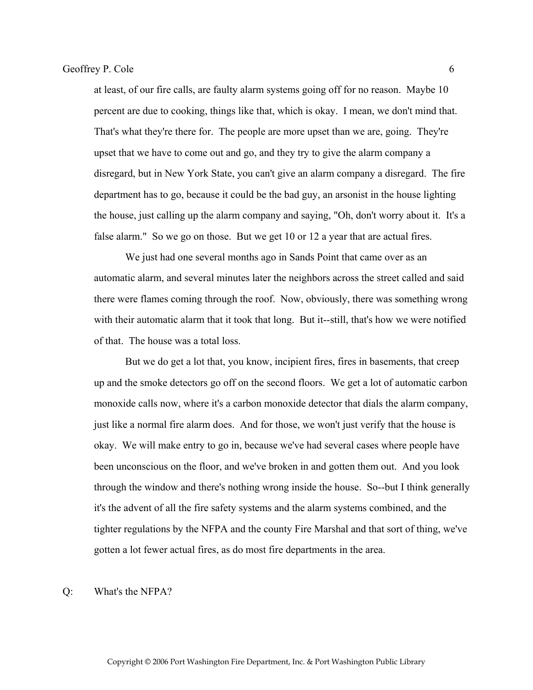at least, of our fire calls, are faulty alarm systems going off for no reason. Maybe 10 percent are due to cooking, things like that, which is okay. I mean, we don't mind that. That's what they're there for. The people are more upset than we are, going. They're upset that we have to come out and go, and they try to give the alarm company a disregard, but in New York State, you can't give an alarm company a disregard. The fire department has to go, because it could be the bad guy, an arsonist in the house lighting the house, just calling up the alarm company and saying, "Oh, don't worry about it. It's a false alarm." So we go on those. But we get 10 or 12 a year that are actual fires.

 We just had one several months ago in Sands Point that came over as an automatic alarm, and several minutes later the neighbors across the street called and said there were flames coming through the roof. Now, obviously, there was something wrong with their automatic alarm that it took that long. But it--still, that's how we were notified of that. The house was a total loss.

 But we do get a lot that, you know, incipient fires, fires in basements, that creep up and the smoke detectors go off on the second floors. We get a lot of automatic carbon monoxide calls now, where it's a carbon monoxide detector that dials the alarm company, just like a normal fire alarm does. And for those, we won't just verify that the house is okay. We will make entry to go in, because we've had several cases where people have been unconscious on the floor, and we've broken in and gotten them out. And you look through the window and there's nothing wrong inside the house. So--but I think generally it's the advent of all the fire safety systems and the alarm systems combined, and the tighter regulations by the NFPA and the county Fire Marshal and that sort of thing, we've gotten a lot fewer actual fires, as do most fire departments in the area.

#### Q: What's the NFPA?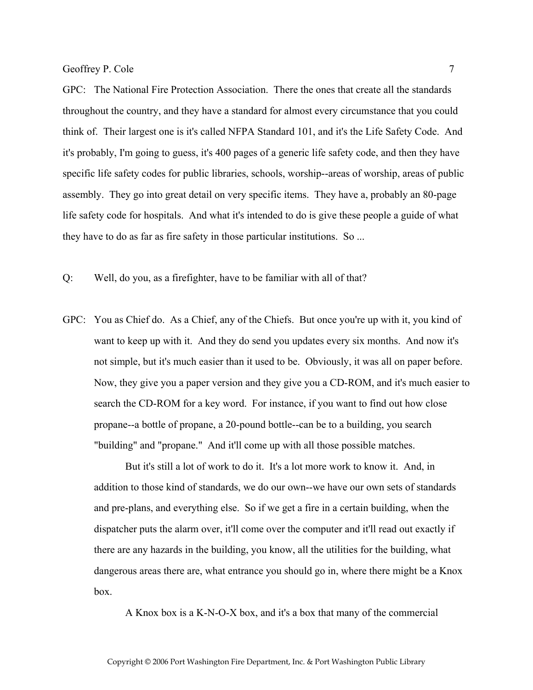GPC: The National Fire Protection Association. There the ones that create all the standards throughout the country, and they have a standard for almost every circumstance that you could think of. Their largest one is it's called NFPA Standard 101, and it's the Life Safety Code. And it's probably, I'm going to guess, it's 400 pages of a generic life safety code, and then they have specific life safety codes for public libraries, schools, worship--areas of worship, areas of public assembly. They go into great detail on very specific items. They have a, probably an 80-page life safety code for hospitals. And what it's intended to do is give these people a guide of what they have to do as far as fire safety in those particular institutions. So ...

Q: Well, do you, as a firefighter, have to be familiar with all of that?

GPC: You as Chief do. As a Chief, any of the Chiefs. But once you're up with it, you kind of want to keep up with it. And they do send you updates every six months. And now it's not simple, but it's much easier than it used to be. Obviously, it was all on paper before. Now, they give you a paper version and they give you a CD-ROM, and it's much easier to search the CD-ROM for a key word. For instance, if you want to find out how close propane--a bottle of propane, a 20-pound bottle--can be to a building, you search "building" and "propane." And it'll come up with all those possible matches.

 But it's still a lot of work to do it. It's a lot more work to know it. And, in addition to those kind of standards, we do our own--we have our own sets of standards and pre-plans, and everything else. So if we get a fire in a certain building, when the dispatcher puts the alarm over, it'll come over the computer and it'll read out exactly if there are any hazards in the building, you know, all the utilities for the building, what dangerous areas there are, what entrance you should go in, where there might be a Knox box.

A Knox box is a K-N-O-X box, and it's a box that many of the commercial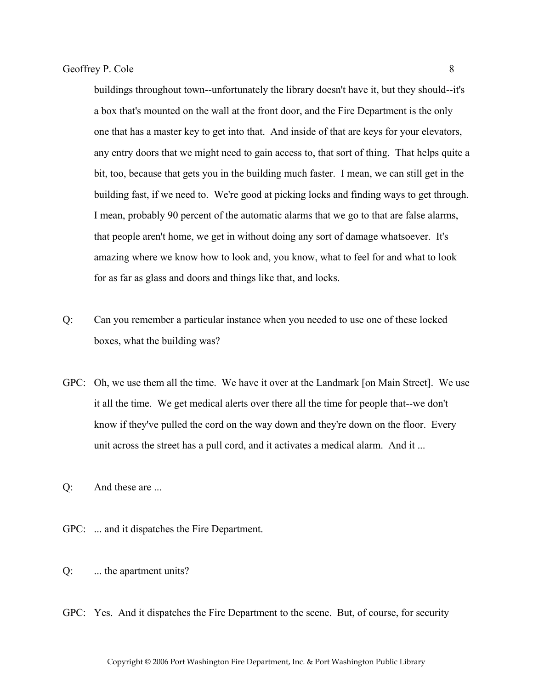buildings throughout town--unfortunately the library doesn't have it, but they should--it's a box that's mounted on the wall at the front door, and the Fire Department is the only one that has a master key to get into that. And inside of that are keys for your elevators, any entry doors that we might need to gain access to, that sort of thing. That helps quite a bit, too, because that gets you in the building much faster. I mean, we can still get in the building fast, if we need to. We're good at picking locks and finding ways to get through. I mean, probably 90 percent of the automatic alarms that we go to that are false alarms, that people aren't home, we get in without doing any sort of damage whatsoever. It's amazing where we know how to look and, you know, what to feel for and what to look for as far as glass and doors and things like that, and locks.

- Q: Can you remember a particular instance when you needed to use one of these locked boxes, what the building was?
- GPC: Oh, we use them all the time. We have it over at the Landmark [on Main Street]. We use it all the time. We get medical alerts over there all the time for people that--we don't know if they've pulled the cord on the way down and they're down on the floor. Every unit across the street has a pull cord, and it activates a medical alarm. And it ...
- Q: And these are ...
- GPC: ... and it dispatches the Fire Department.
- Q: ... the apartment units?
- GPC: Yes. And it dispatches the Fire Department to the scene. But, of course, for security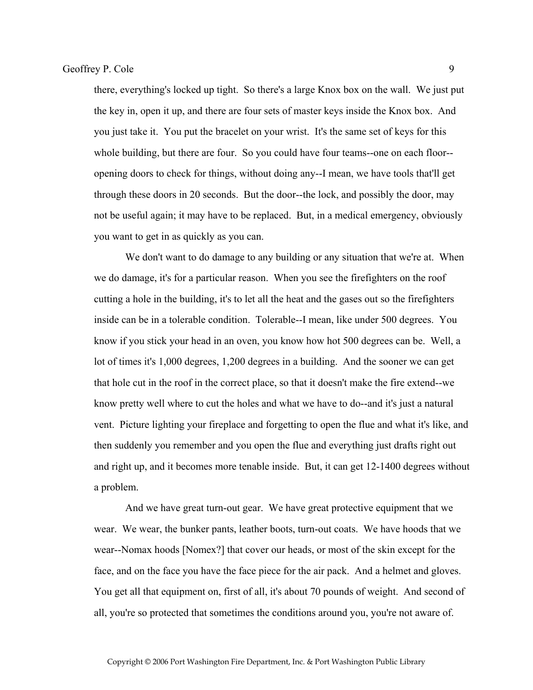there, everything's locked up tight. So there's a large Knox box on the wall. We just put the key in, open it up, and there are four sets of master keys inside the Knox box. And you just take it. You put the bracelet on your wrist. It's the same set of keys for this whole building, but there are four. So you could have four teams--one on each floor-opening doors to check for things, without doing any--I mean, we have tools that'll get through these doors in 20 seconds. But the door--the lock, and possibly the door, may not be useful again; it may have to be replaced. But, in a medical emergency, obviously you want to get in as quickly as you can.

 We don't want to do damage to any building or any situation that we're at. When we do damage, it's for a particular reason. When you see the firefighters on the roof cutting a hole in the building, it's to let all the heat and the gases out so the firefighters inside can be in a tolerable condition. Tolerable--I mean, like under 500 degrees. You know if you stick your head in an oven, you know how hot 500 degrees can be. Well, a lot of times it's 1,000 degrees, 1,200 degrees in a building. And the sooner we can get that hole cut in the roof in the correct place, so that it doesn't make the fire extend--we know pretty well where to cut the holes and what we have to do--and it's just a natural vent. Picture lighting your fireplace and forgetting to open the flue and what it's like, and then suddenly you remember and you open the flue and everything just drafts right out and right up, and it becomes more tenable inside. But, it can get 12-1400 degrees without a problem.

 And we have great turn-out gear. We have great protective equipment that we wear. We wear, the bunker pants, leather boots, turn-out coats. We have hoods that we wear--Nomax hoods [Nomex?] that cover our heads, or most of the skin except for the face, and on the face you have the face piece for the air pack. And a helmet and gloves. You get all that equipment on, first of all, it's about 70 pounds of weight. And second of all, you're so protected that sometimes the conditions around you, you're not aware of.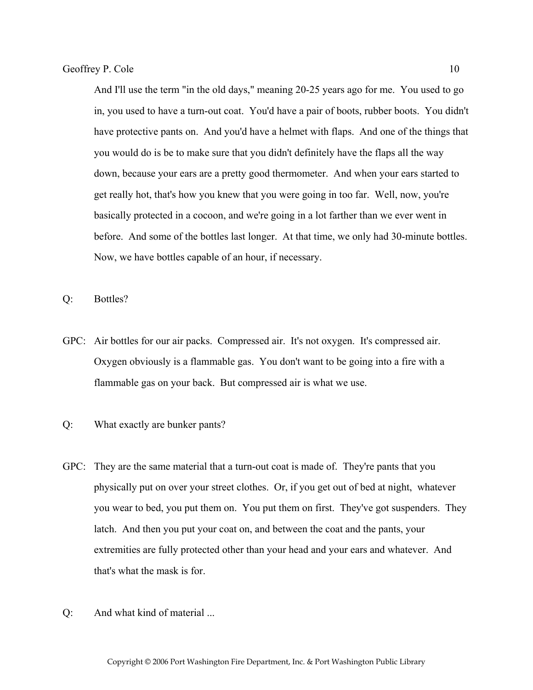And I'll use the term "in the old days," meaning 20-25 years ago for me. You used to go in, you used to have a turn-out coat. You'd have a pair of boots, rubber boots. You didn't have protective pants on. And you'd have a helmet with flaps. And one of the things that you would do is be to make sure that you didn't definitely have the flaps all the way down, because your ears are a pretty good thermometer. And when your ears started to get really hot, that's how you knew that you were going in too far. Well, now, you're basically protected in a cocoon, and we're going in a lot farther than we ever went in before. And some of the bottles last longer. At that time, we only had 30-minute bottles. Now, we have bottles capable of an hour, if necessary.

Q: Bottles?

- GPC: Air bottles for our air packs. Compressed air. It's not oxygen. It's compressed air. Oxygen obviously is a flammable gas. You don't want to be going into a fire with a flammable gas on your back. But compressed air is what we use.
- Q: What exactly are bunker pants?
- GPC: They are the same material that a turn-out coat is made of. They're pants that you physically put on over your street clothes. Or, if you get out of bed at night, whatever you wear to bed, you put them on. You put them on first. They've got suspenders. They latch. And then you put your coat on, and between the coat and the pants, your extremities are fully protected other than your head and your ears and whatever. And that's what the mask is for.
- Q: And what kind of material ...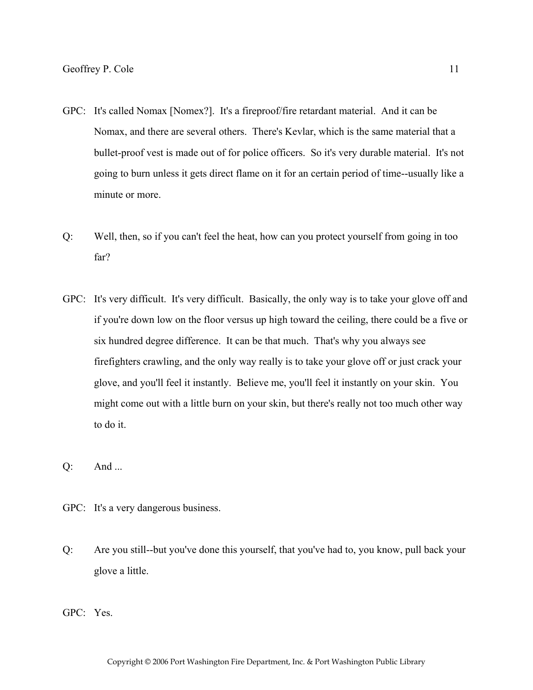- GPC: It's called Nomax [Nomex?]. It's a fireproof/fire retardant material. And it can be Nomax, and there are several others. There's Kevlar, which is the same material that a bullet-proof vest is made out of for police officers. So it's very durable material. It's not going to burn unless it gets direct flame on it for an certain period of time--usually like a minute or more.
- Q: Well, then, so if you can't feel the heat, how can you protect yourself from going in too far?
- GPC: It's very difficult. It's very difficult. Basically, the only way is to take your glove off and if you're down low on the floor versus up high toward the ceiling, there could be a five or six hundred degree difference. It can be that much. That's why you always see firefighters crawling, and the only way really is to take your glove off or just crack your glove, and you'll feel it instantly. Believe me, you'll feel it instantly on your skin. You might come out with a little burn on your skin, but there's really not too much other way to do it.
- Q: And ...
- GPC: It's a very dangerous business.
- Q: Are you still--but you've done this yourself, that you've had to, you know, pull back your glove a little.

GPC: Yes.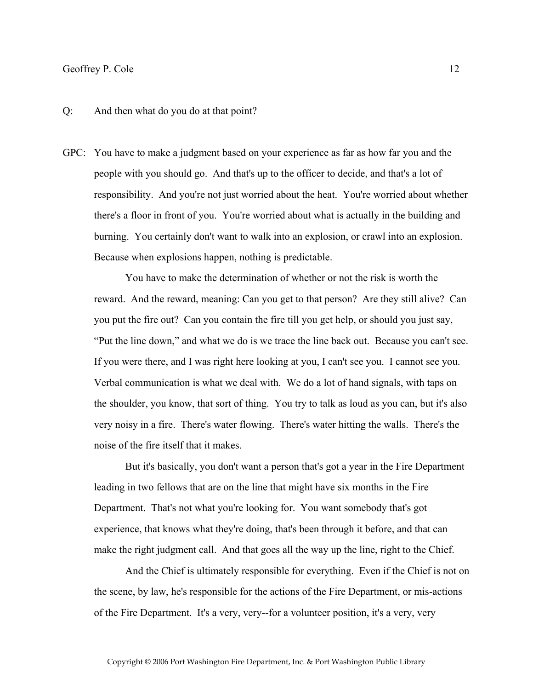#### Q: And then what do you do at that point?

GPC: You have to make a judgment based on your experience as far as how far you and the people with you should go. And that's up to the officer to decide, and that's a lot of responsibility. And you're not just worried about the heat. You're worried about whether there's a floor in front of you. You're worried about what is actually in the building and burning. You certainly don't want to walk into an explosion, or crawl into an explosion. Because when explosions happen, nothing is predictable.

 You have to make the determination of whether or not the risk is worth the reward. And the reward, meaning: Can you get to that person? Are they still alive? Can you put the fire out? Can you contain the fire till you get help, or should you just say, "Put the line down," and what we do is we trace the line back out. Because you can't see. If you were there, and I was right here looking at you, I can't see you. I cannot see you. Verbal communication is what we deal with. We do a lot of hand signals, with taps on the shoulder, you know, that sort of thing. You try to talk as loud as you can, but it's also very noisy in a fire. There's water flowing. There's water hitting the walls. There's the noise of the fire itself that it makes.

 But it's basically, you don't want a person that's got a year in the Fire Department leading in two fellows that are on the line that might have six months in the Fire Department. That's not what you're looking for. You want somebody that's got experience, that knows what they're doing, that's been through it before, and that can make the right judgment call. And that goes all the way up the line, right to the Chief.

 And the Chief is ultimately responsible for everything. Even if the Chief is not on the scene, by law, he's responsible for the actions of the Fire Department, or mis-actions of the Fire Department. It's a very, very--for a volunteer position, it's a very, very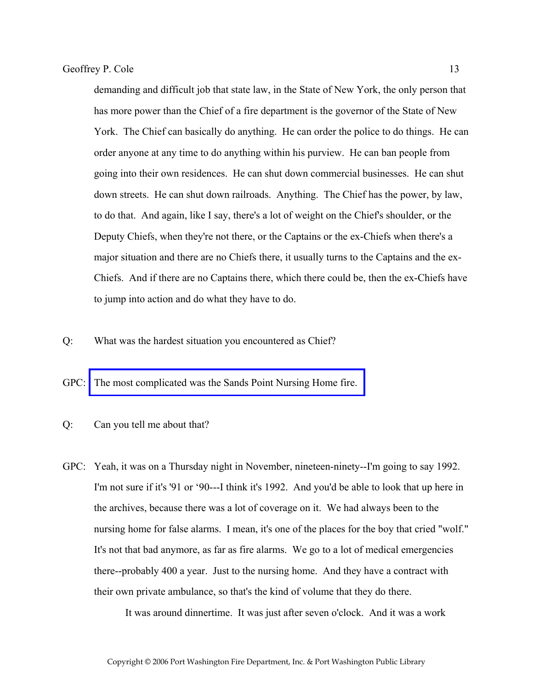demanding and difficult job that state law, in the State of New York, the only person that has more power than the Chief of a fire department is the governor of the State of New York. The Chief can basically do anything. He can order the police to do things. He can order anyone at any time to do anything within his purview. He can ban people from going into their own residences. He can shut down commercial businesses. He can shut down streets. He can shut down railroads. Anything. The Chief has the power, by law, to do that. And again, like I say, there's a lot of weight on the Chief's shoulder, or the Deputy Chiefs, when they're not there, or the Captains or the ex-Chiefs when there's a major situation and there are no Chiefs there, it usually turns to the Captains and the ex-Chiefs. And if there are no Captains there, which there could be, then the ex-Chiefs have to jump into action and do what they have to do.

Q: What was the hardest situation you encountered as Chief?

GPC: [The most complicated was the Sands Point Nursing Home fire.](http://www.pwfdhistory.com/trans/coleg_trans/pwfd_news045.pdf) 

Q: Can you tell me about that?

GPC: Yeah, it was on a Thursday night in November, nineteen-ninety--I'm going to say 1992. I'm not sure if it's '91 or '90---I think it's 1992. And you'd be able to look that up here in the archives, because there was a lot of coverage on it. We had always been to the nursing home for false alarms. I mean, it's one of the places for the boy that cried "wolf." It's not that bad anymore, as far as fire alarms. We go to a lot of medical emergencies there--probably 400 a year. Just to the nursing home. And they have a contract with their own private ambulance, so that's the kind of volume that they do there.

It was around dinnertime. It was just after seven o'clock. And it was a work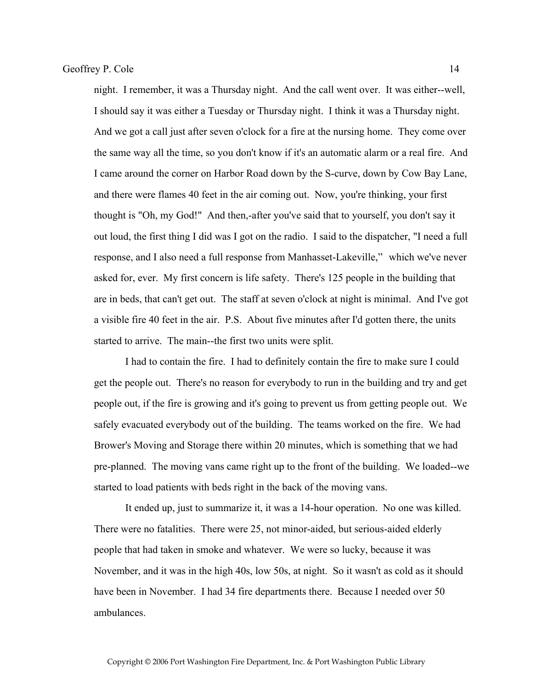night. I remember, it was a Thursday night. And the call went over. It was either--well, I should say it was either a Tuesday or Thursday night. I think it was a Thursday night. And we got a call just after seven o'clock for a fire at the nursing home. They come over the same way all the time, so you don't know if it's an automatic alarm or a real fire. And I came around the corner on Harbor Road down by the S-curve, down by Cow Bay Lane, and there were flames 40 feet in the air coming out. Now, you're thinking, your first thought is "Oh, my God!" And then,-after you've said that to yourself, you don't say it out loud, the first thing I did was I got on the radio. I said to the dispatcher, "I need a full response, and I also need a full response from Manhasset-Lakeville," which we've never asked for, ever. My first concern is life safety. There's 125 people in the building that are in beds, that can't get out. The staff at seven o'clock at night is minimal. And I've got a visible fire 40 feet in the air. P.S. About five minutes after I'd gotten there, the units started to arrive. The main--the first two units were split.

 I had to contain the fire. I had to definitely contain the fire to make sure I could get the people out. There's no reason for everybody to run in the building and try and get people out, if the fire is growing and it's going to prevent us from getting people out. We safely evacuated everybody out of the building. The teams worked on the fire. We had Brower's Moving and Storage there within 20 minutes, which is something that we had pre-planned. The moving vans came right up to the front of the building. We loaded--we started to load patients with beds right in the back of the moving vans.

 It ended up, just to summarize it, it was a 14-hour operation. No one was killed. There were no fatalities. There were 25, not minor-aided, but serious-aided elderly people that had taken in smoke and whatever. We were so lucky, because it was November, and it was in the high 40s, low 50s, at night. So it wasn't as cold as it should have been in November. I had 34 fire departments there. Because I needed over 50 ambulances.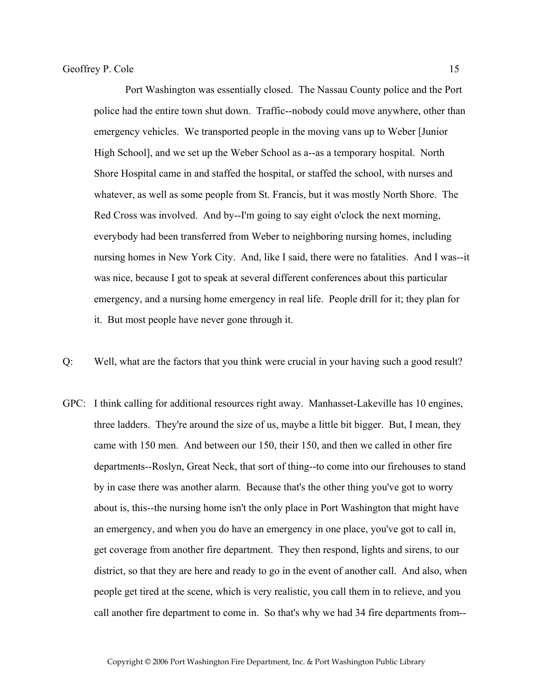Port Washington was essentially closed. The Nassau County police and the Port police had the entire town shut down. Traffic--nobody could move anywhere, other than emergency vehicles. We transported people in the moving vans up to Weber [Junior High School], and we set up the Weber School as a--as a temporary hospital. North Shore Hospital came in and staffed the hospital, or staffed the school, with nurses and whatever, as well as some people from St. Francis, but it was mostly North Shore. The Red Cross was involved. And by--I'm going to say eight o'clock the next morning, everybody had been transferred from Weber to neighboring nursing homes, including nursing homes in New York City. And, like I said, there were no fatalities. And I was--it was nice, because I got to speak at several different conferences about this particular emergency, and a nursing home emergency in real life. People drill for it; they plan for it. But most people have never gone through it.

- Q: Well, what are the factors that you think were crucial in your having such a good result?
- GPC: I think calling for additional resources right away. Manhasset-Lakeville has 10 engines, three ladders. They're around the size of us, maybe a little bit bigger. But, I mean, they came with 150 men. And between our 150, their 150, and then we called in other fire departments--Roslyn, Great Neck, that sort of thing--to come into our firehouses to stand by in case there was another alarm. Because that's the other thing you've got to worry about is, this--the nursing home isn't the only place in Port Washington that might have an emergency, and when you do have an emergency in one place, you've got to call in, get coverage from another fire department. They then respond, lights and sirens, to our district, so that they are here and ready to go in the event of another call. And also, when people get tired at the scene, which is very realistic, you call them in to relieve, and you call another fire department to come in. So that's why we had 34 fire departments from--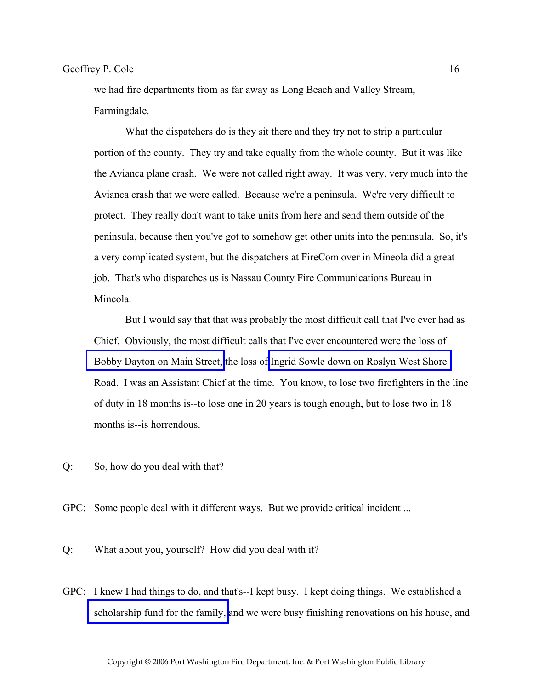we had fire departments from as far away as Long Beach and Valley Stream, Farmingdale.

 What the dispatchers do is they sit there and they try not to strip a particular portion of the county. They try and take equally from the whole county. But it was like the Avianca plane crash. We were not called right away. It was very, very much into the Avianca crash that we were called. Because we're a peninsula. We're very difficult to protect. They really don't want to take units from here and send them outside of the peninsula, because then you've got to somehow get other units into the peninsula. So, it's a very complicated system, but the dispatchers at FireCom over in Mineola did a great job. That's who dispatches us is Nassau County Fire Communications Bureau in Mineola.

 But I would say that that was probably the most difficult call that I've ever had as Chief. Obviously, the most difficult calls that I've ever encountered were the loss of [Bobby Dayton on Main Street,](http://www.pwfdhistory.com/trans/coleg_trans/pnews881201_pz.pdf) the loss of [Ingrid Sowle down on Roslyn West Shore](http://www.pwfdhistory.com/trans/coleg_trans/pnews900222_pz_web.jpg)  Road. I was an Assistant Chief at the time. You know, to lose two firefighters in the line of duty in 18 months is--to lose one in 20 years is tough enough, but to lose two in 18 months is--is horrendous.

- Q: So, how do you deal with that?
- GPC: Some people deal with it different ways. But we provide critical incident ...
- Q: What about you, yourself? How did you deal with it?
- GPC: I knew I had things to do, and that's--I kept busy. I kept doing things. We established a [scholarship fund for the family,](http://www.pwfdhistory.com/trans/coleg_trans/pnews891130a_pz.jpg) and we were busy finishing renovations on his house, and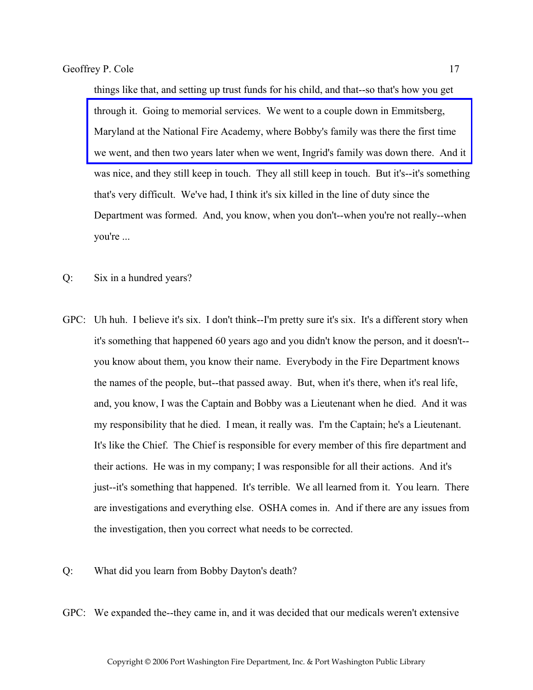things like that, and setting up trust funds for his child, and that--so that's how you get through it. Going to memorial services. We went to a couple down in Emmitsberg, Maryland at the National Fire Academy, where Bobby's family was there the first time [we went, and then two years later when we went, Ingrid's family was down there. And it](http://www.usfa.dhs.gov/fireservice/fatalities/memorial/index.shtm)  was nice, and they still keep in touch. They all still keep in touch. But it's--it's something that's very difficult. We've had, I think it's six killed in the line of duty since the Department was formed. And, you know, when you don't--when you're not really--when you're ...

- Q: Six in a hundred years?
- GPC: Uh huh. I believe it's six. I don't think--I'm pretty sure it's six. It's a different story when it's something that happened 60 years ago and you didn't know the person, and it doesn't- you know about them, you know their name. Everybody in the Fire Department knows the names of the people, but--that passed away. But, when it's there, when it's real life, and, you know, I was the Captain and Bobby was a Lieutenant when he died. And it was my responsibility that he died. I mean, it really was. I'm the Captain; he's a Lieutenant. It's like the Chief. The Chief is responsible for every member of this fire department and their actions. He was in my company; I was responsible for all their actions. And it's just--it's something that happened. It's terrible. We all learned from it. You learn. There are investigations and everything else. OSHA comes in. And if there are any issues from the investigation, then you correct what needs to be corrected.
- Q: What did you learn from Bobby Dayton's death?
- GPC: We expanded the--they came in, and it was decided that our medicals weren't extensive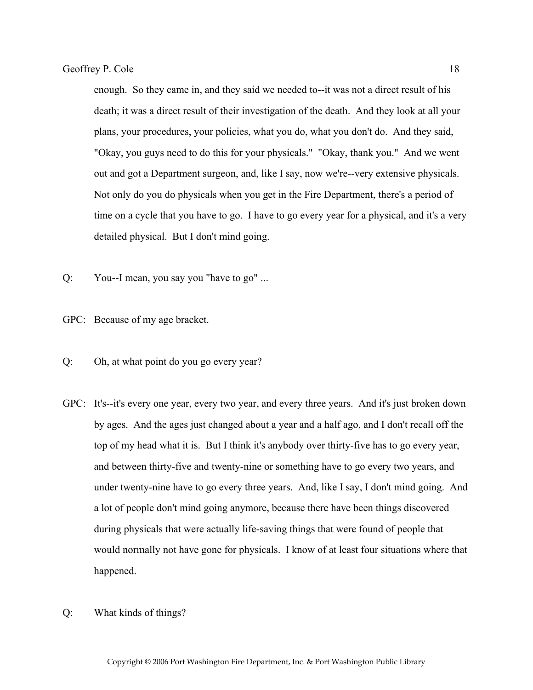enough. So they came in, and they said we needed to--it was not a direct result of his death; it was a direct result of their investigation of the death. And they look at all your plans, your procedures, your policies, what you do, what you don't do. And they said, "Okay, you guys need to do this for your physicals." "Okay, thank you." And we went out and got a Department surgeon, and, like I say, now we're--very extensive physicals. Not only do you do physicals when you get in the Fire Department, there's a period of time on a cycle that you have to go. I have to go every year for a physical, and it's a very detailed physical. But I don't mind going.

- Q: You--I mean, you say you "have to go" ...
- GPC: Because of my age bracket.
- Q: Oh, at what point do you go every year?
- GPC: It's--it's every one year, every two year, and every three years. And it's just broken down by ages. And the ages just changed about a year and a half ago, and I don't recall off the top of my head what it is. But I think it's anybody over thirty-five has to go every year, and between thirty-five and twenty-nine or something have to go every two years, and under twenty-nine have to go every three years. And, like I say, I don't mind going. And a lot of people don't mind going anymore, because there have been things discovered during physicals that were actually life-saving things that were found of people that would normally not have gone for physicals. I know of at least four situations where that happened.
- Q: What kinds of things?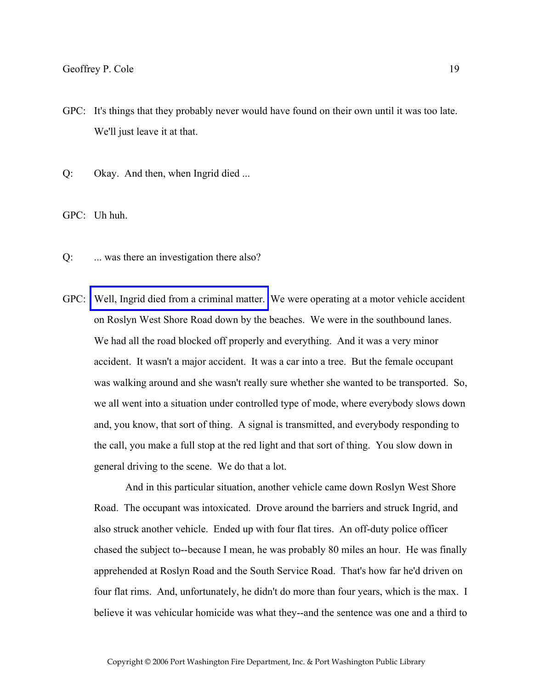- GPC: It's things that they probably never would have found on their own until it was too late. We'll just leave it at that.
- Q: Okay. And then, when Ingrid died ...

GPC: Uh huh.

- Q: ... was there an investigation there also?
- GPC: [Well, Ingrid died from a criminal matter.](http://www.pwfdhistory.com/trans/coleg_trans/fmco_members01.jpg) We were operating at a motor vehicle accident on Roslyn West Shore Road down by the beaches. We were in the southbound lanes. We had all the road blocked off properly and everything. And it was a very minor accident. It wasn't a major accident. It was a car into a tree. But the female occupant was walking around and she wasn't really sure whether she wanted to be transported. So, we all went into a situation under controlled type of mode, where everybody slows down and, you know, that sort of thing. A signal is transmitted, and everybody responding to the call, you make a full stop at the red light and that sort of thing. You slow down in general driving to the scene. We do that a lot.

 And in this particular situation, another vehicle came down Roslyn West Shore Road. The occupant was intoxicated. Drove around the barriers and struck Ingrid, and also struck another vehicle. Ended up with four flat tires. An off-duty police officer chased the subject to--because I mean, he was probably 80 miles an hour. He was finally apprehended at Roslyn Road and the South Service Road. That's how far he'd driven on four flat rims. And, unfortunately, he didn't do more than four years, which is the max. I believe it was vehicular homicide was what they--and the sentence was one and a third to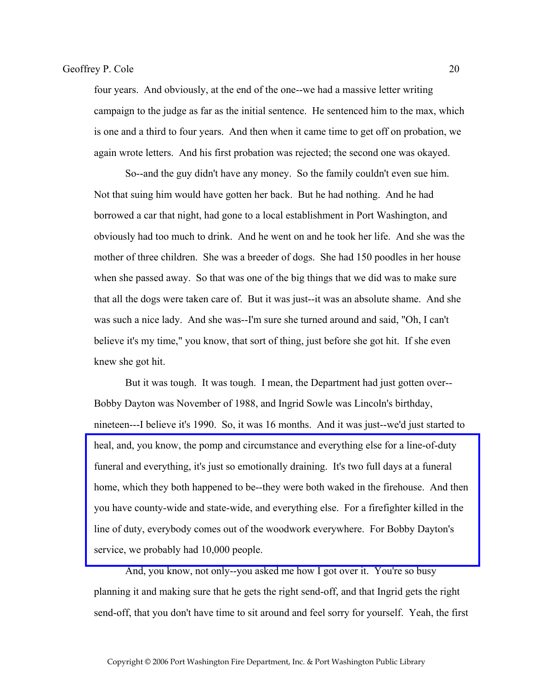four years. And obviously, at the end of the one--we had a massive letter writing campaign to the judge as far as the initial sentence. He sentenced him to the max, which is one and a third to four years. And then when it came time to get off on probation, we again wrote letters. And his first probation was rejected; the second one was okayed.

 So--and the guy didn't have any money. So the family couldn't even sue him. Not that suing him would have gotten her back. But he had nothing. And he had borrowed a car that night, had gone to a local establishment in Port Washington, and obviously had too much to drink. And he went on and he took her life. And she was the mother of three children. She was a breeder of dogs. She had 150 poodles in her house when she passed away. So that was one of the big things that we did was to make sure that all the dogs were taken care of. But it was just--it was an absolute shame. And she was such a nice lady. And she was--I'm sure she turned around and said, "Oh, I can't believe it's my time," you know, that sort of thing, just before she got hit. If she even knew she got hit.

 But it was tough. It was tough. I mean, the Department had just gotten over-- Bobby Dayton was November of 1988, and Ingrid Sowle was Lincoln's birthday, nineteen---I believe it's 1990. So, it was 16 months. And it was just--we'd just started to heal, and, you know, the pomp and circumstance and everything else for a line-of-duty funeral and everything, it's just so emotionally draining. It's two full days at a funeral [home, which they both happened to be--they were both waked in the firehouse. And then](http://www.pwfdhistory.com/trans/coleg_trans/nday881130web_pz.pdf)  you have county-wide and state-wide, and everything else. For a firefighter killed in the line of duty, everybody comes out of the woodwork everywhere. For Bobby Dayton's service, we probably had 10,000 people.

 And, you know, not only--you asked me how I got over it. You're so busy planning it and making sure that he gets the right send-off, and that Ingrid gets the right send-off, that you don't have time to sit around and feel sorry for yourself. Yeah, the first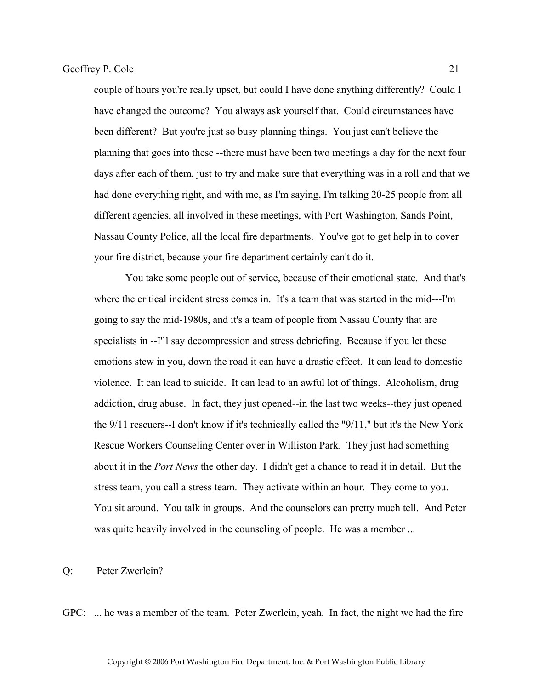couple of hours you're really upset, but could I have done anything differently? Could I have changed the outcome? You always ask yourself that. Could circumstances have been different? But you're just so busy planning things. You just can't believe the planning that goes into these --there must have been two meetings a day for the next four days after each of them, just to try and make sure that everything was in a roll and that we had done everything right, and with me, as I'm saying, I'm talking 20-25 people from all different agencies, all involved in these meetings, with Port Washington, Sands Point, Nassau County Police, all the local fire departments. You've got to get help in to cover your fire district, because your fire department certainly can't do it.

 You take some people out of service, because of their emotional state. And that's where the critical incident stress comes in. It's a team that was started in the mid---I'm going to say the mid-1980s, and it's a team of people from Nassau County that are specialists in --I'll say decompression and stress debriefing. Because if you let these emotions stew in you, down the road it can have a drastic effect. It can lead to domestic violence. It can lead to suicide. It can lead to an awful lot of things. Alcoholism, drug addiction, drug abuse. In fact, they just opened--in the last two weeks--they just opened the 9/11 rescuers--I don't know if it's technically called the "9/11," but it's the New York Rescue Workers Counseling Center over in Williston Park. They just had something about it in the *Port News* the other day. I didn't get a chance to read it in detail. But the stress team, you call a stress team. They activate within an hour. They come to you. You sit around. You talk in groups. And the counselors can pretty much tell. And Peter was quite heavily involved in the counseling of people. He was a member ...

Q: Peter Zwerlein?

GPC: ... he was a member of the team. Peter Zwerlein, yeah. In fact, the night we had the fire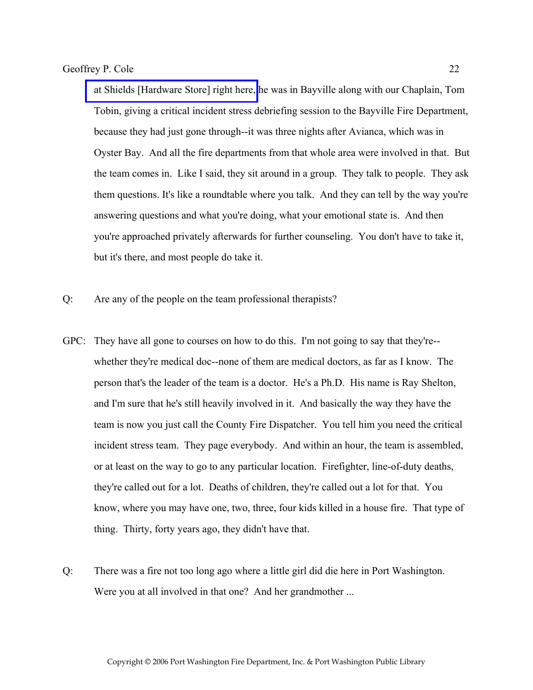[at Shields \[Hardware Store\] right here,](http://www.pwfdhistory.com/trans/coleg_trans/pnews900208web_pz.pdf) he was in Bayville along with our Chaplain, Tom Tobin, giving a critical incident stress debriefing session to the Bayville Fire Department, because they had just gone through--it was three nights after Avianca, which was in Oyster Bay. And all the fire departments from that whole area were involved in that. But the team comes in. Like I said, they sit around in a group. They talk to people. They ask them questions. It's like a roundtable where you talk. And they can tell by the way you're answering questions and what you're doing, what your emotional state is. And then you're approached privately afterwards for further counseling. You don't have to take it, but it's there, and most people do take it.

- Q: Are any of the people on the team professional therapists?
- GPC: They have all gone to courses on how to do this. I'm not going to say that they're- whether they're medical doc--none of them are medical doctors, as far as I know. The person that's the leader of the team is a doctor. He's a Ph.D. His name is Ray Shelton, and I'm sure that he's still heavily involved in it. And basically the way they have the team is now you just call the County Fire Dispatcher. You tell him you need the critical incident stress team. They page everybody. And within an hour, the team is assembled, or at least on the way to go to any particular location. Firefighter, line-of-duty deaths, they're called out for a lot. Deaths of children, they're called out a lot for that. You know, where you may have one, two, three, four kids killed in a house fire. That type of thing. Thirty, forty years ago, they didn't have that.
- Q: There was a fire not too long ago where a little girl did die here in Port Washington. Were you at all involved in that one? And her grandmother ...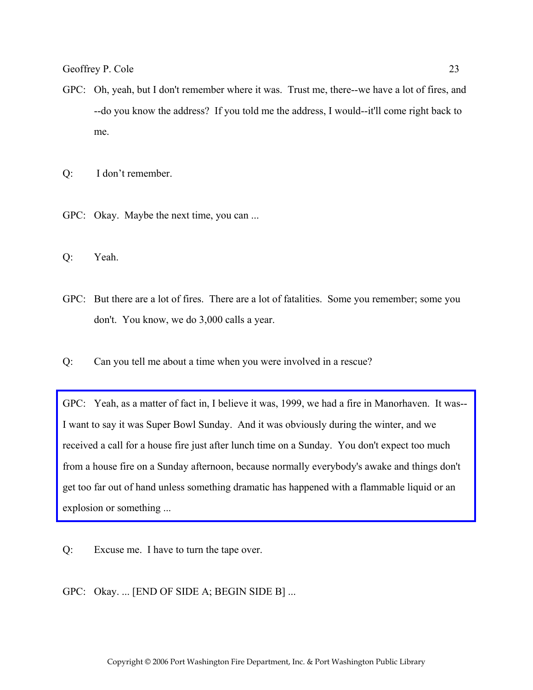GPC: Oh, yeah, but I don't remember where it was. Trust me, there--we have a lot of fires, and --do you know the address? If you told me the address, I would--it'll come right back to me.

Q: I don't remember.

- GPC: Okay. Maybe the next time, you can ...
- Q: Yeah.
- GPC: But there are a lot of fires. There are a lot of fatalities. Some you remember; some you don't. You know, we do 3,000 calls a year.
- Q: Can you tell me about a time when you were involved in a rescue?

[GPC: Yeah, as a matter of fact in, I believe it was, 1999, we had a fire in Manorhaven. It was--](http://www.pwfdhistory.com/trans/coleg_trans/pwfd_news065.pdf) I want to say it was Super Bowl Sunday. And it was obviously during the winter, and we received a call for a house fire just after lunch time on a Sunday. You don't expect too much from a house fire on a Sunday afternoon, because normally everybody's awake and things don't get too far out of hand unless something dramatic has happened with a flammable liquid or an explosion or something ...

Q: Excuse me. I have to turn the tape over.

GPC: Okay. ... [END OF SIDE A; BEGIN SIDE B] ...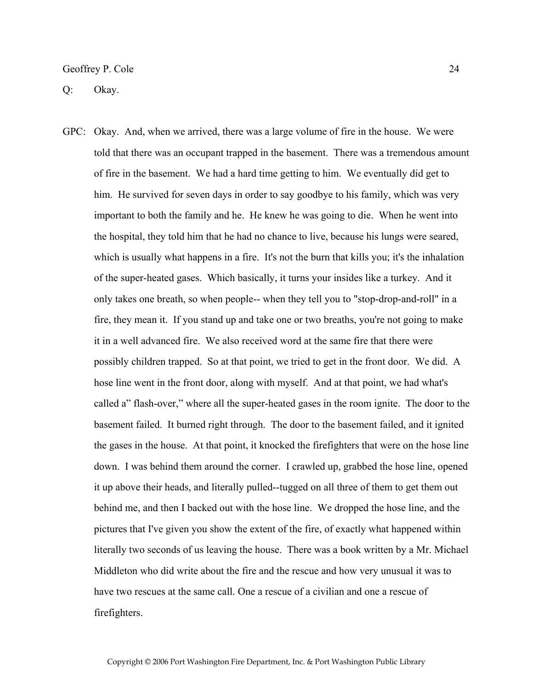Q: Okay.

GPC: Okay. And, when we arrived, there was a large volume of fire in the house. We were told that there was an occupant trapped in the basement. There was a tremendous amount of fire in the basement. We had a hard time getting to him. We eventually did get to him. He survived for seven days in order to say goodbye to his family, which was very important to both the family and he. He knew he was going to die. When he went into the hospital, they told him that he had no chance to live, because his lungs were seared, which is usually what happens in a fire. It's not the burn that kills you; it's the inhalation of the super-heated gases. Which basically, it turns your insides like a turkey. And it only takes one breath, so when people-- when they tell you to "stop-drop-and-roll" in a fire, they mean it. If you stand up and take one or two breaths, you're not going to make it in a well advanced fire. We also received word at the same fire that there were possibly children trapped. So at that point, we tried to get in the front door. We did. A hose line went in the front door, along with myself. And at that point, we had what's called a" flash-over," where all the super-heated gases in the room ignite. The door to the basement failed. It burned right through. The door to the basement failed, and it ignited the gases in the house. At that point, it knocked the firefighters that were on the hose line down. I was behind them around the corner. I crawled up, grabbed the hose line, opened it up above their heads, and literally pulled--tugged on all three of them to get them out behind me, and then I backed out with the hose line. We dropped the hose line, and the pictures that I've given you show the extent of the fire, of exactly what happened within literally two seconds of us leaving the house. There was a book written by a Mr. Michael Middleton who did write about the fire and the rescue and how very unusual it was to have two rescues at the same call. One a rescue of a civilian and one a rescue of firefighters.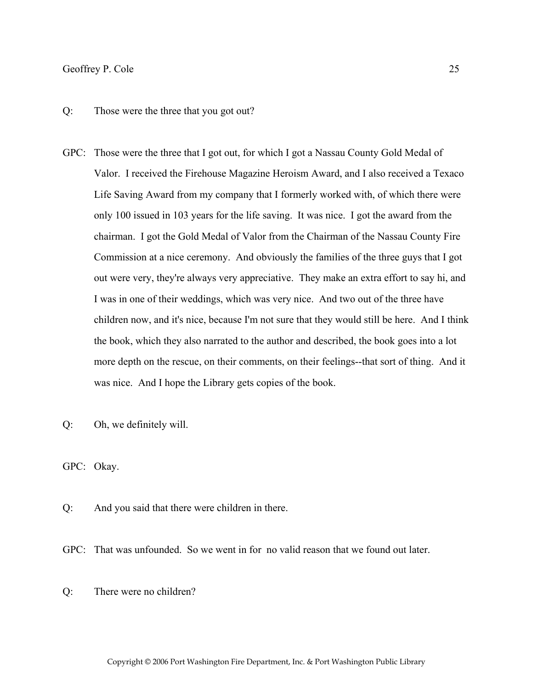#### Q: Those were the three that you got out?

- GPC: Those were the three that I got out, for which I got a Nassau County Gold Medal of Valor. I received the Firehouse Magazine Heroism Award, and I also received a Texaco Life Saving Award from my company that I formerly worked with, of which there were only 100 issued in 103 years for the life saving. It was nice. I got the award from the chairman. I got the Gold Medal of Valor from the Chairman of the Nassau County Fire Commission at a nice ceremony. And obviously the families of the three guys that I got out were very, they're always very appreciative. They make an extra effort to say hi, and I was in one of their weddings, which was very nice. And two out of the three have children now, and it's nice, because I'm not sure that they would still be here. And I think the book, which they also narrated to the author and described, the book goes into a lot more depth on the rescue, on their comments, on their feelings--that sort of thing. And it was nice. And I hope the Library gets copies of the book.
- Q: Oh, we definitely will.

GPC: Okay.

- Q: And you said that there were children in there.
- GPC: That was unfounded. So we went in for no valid reason that we found out later.
- Q: There were no children?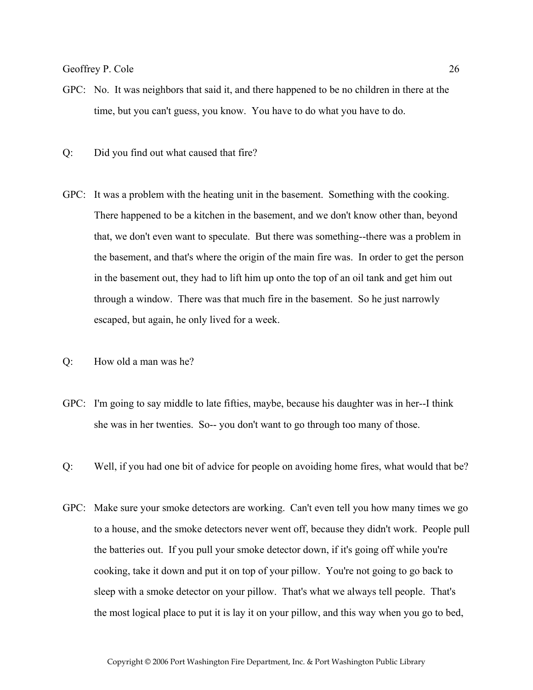- GPC: No. It was neighbors that said it, and there happened to be no children in there at the time, but you can't guess, you know. You have to do what you have to do.
- Q: Did you find out what caused that fire?
- GPC: It was a problem with the heating unit in the basement. Something with the cooking. There happened to be a kitchen in the basement, and we don't know other than, beyond that, we don't even want to speculate. But there was something--there was a problem in the basement, and that's where the origin of the main fire was. In order to get the person in the basement out, they had to lift him up onto the top of an oil tank and get him out through a window. There was that much fire in the basement. So he just narrowly escaped, but again, he only lived for a week.
- Q: How old a man was he?
- GPC: I'm going to say middle to late fifties, maybe, because his daughter was in her--I think she was in her twenties. So-- you don't want to go through too many of those.
- Q: Well, if you had one bit of advice for people on avoiding home fires, what would that be?
- GPC: Make sure your smoke detectors are working. Can't even tell you how many times we go to a house, and the smoke detectors never went off, because they didn't work. People pull the batteries out. If you pull your smoke detector down, if it's going off while you're cooking, take it down and put it on top of your pillow. You're not going to go back to sleep with a smoke detector on your pillow. That's what we always tell people. That's the most logical place to put it is lay it on your pillow, and this way when you go to bed,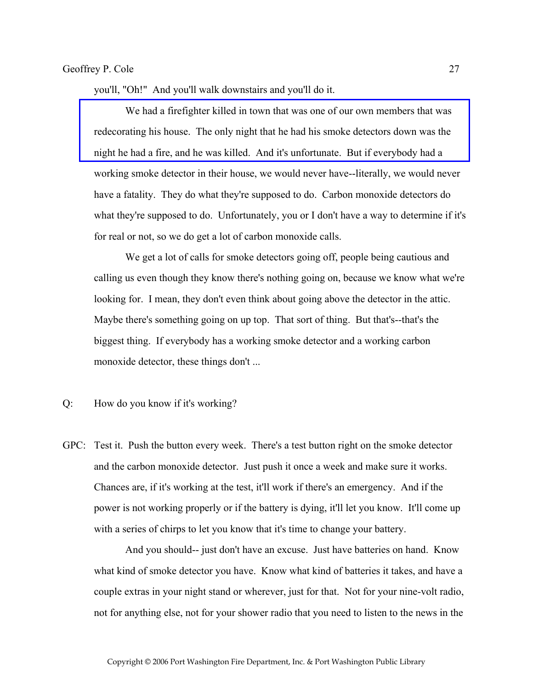you'll, "Oh!" And you'll walk downstairs and you'll do it.

 [We had a firefighter killed in town that was one of our own members that was](http://www.pwfdhistory.com/trans/coleg_trans/nday_921105web_hw.pdf)  redecorating his house. The only night that he had his smoke detectors down was the night he had a fire, and he was killed. And it's unfortunate. But if everybody had a working smoke detector in their house, we would never have--literally, we would never have a fatality. They do what they're supposed to do. Carbon monoxide detectors do what they're supposed to do. Unfortunately, you or I don't have a way to determine if it's for real or not, so we do get a lot of carbon monoxide calls.

 We get a lot of calls for smoke detectors going off, people being cautious and calling us even though they know there's nothing going on, because we know what we're looking for. I mean, they don't even think about going above the detector in the attic. Maybe there's something going on up top. That sort of thing. But that's--that's the biggest thing. If everybody has a working smoke detector and a working carbon monoxide detector, these things don't ...

Q: How do you know if it's working?

GPC: Test it. Push the button every week. There's a test button right on the smoke detector and the carbon monoxide detector. Just push it once a week and make sure it works. Chances are, if it's working at the test, it'll work if there's an emergency. And if the power is not working properly or if the battery is dying, it'll let you know. It'll come up with a series of chirps to let you know that it's time to change your battery.

 And you should-- just don't have an excuse. Just have batteries on hand. Know what kind of smoke detector you have. Know what kind of batteries it takes, and have a couple extras in your night stand or wherever, just for that. Not for your nine-volt radio, not for anything else, not for your shower radio that you need to listen to the news in the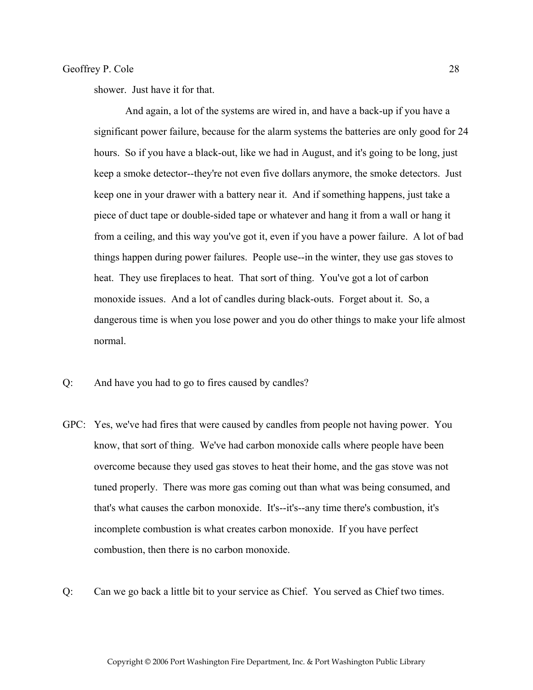shower. Just have it for that.

 And again, a lot of the systems are wired in, and have a back-up if you have a significant power failure, because for the alarm systems the batteries are only good for 24 hours. So if you have a black-out, like we had in August, and it's going to be long, just keep a smoke detector--they're not even five dollars anymore, the smoke detectors. Just keep one in your drawer with a battery near it. And if something happens, just take a piece of duct tape or double-sided tape or whatever and hang it from a wall or hang it from a ceiling, and this way you've got it, even if you have a power failure. A lot of bad things happen during power failures. People use--in the winter, they use gas stoves to heat. They use fireplaces to heat. That sort of thing. You've got a lot of carbon monoxide issues. And a lot of candles during black-outs. Forget about it. So, a dangerous time is when you lose power and you do other things to make your life almost normal.

- Q: And have you had to go to fires caused by candles?
- GPC: Yes, we've had fires that were caused by candles from people not having power. You know, that sort of thing. We've had carbon monoxide calls where people have been overcome because they used gas stoves to heat their home, and the gas stove was not tuned properly. There was more gas coming out than what was being consumed, and that's what causes the carbon monoxide. It's--it's--any time there's combustion, it's incomplete combustion is what creates carbon monoxide. If you have perfect combustion, then there is no carbon monoxide.
- Q: Can we go back a little bit to your service as Chief. You served as Chief two times.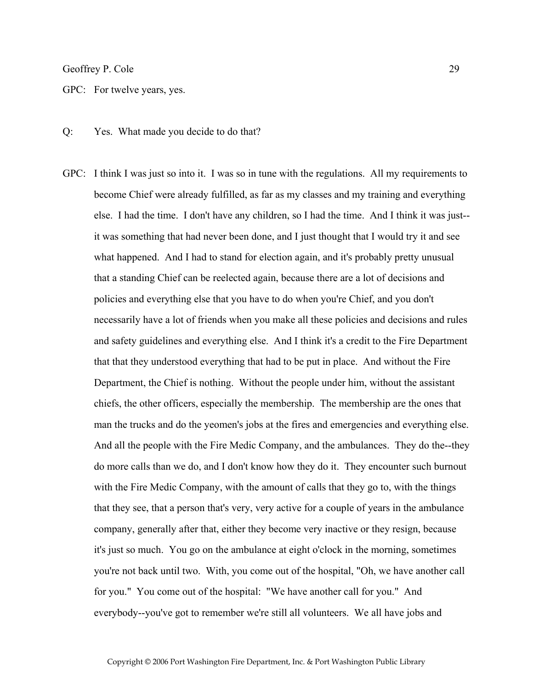GPC: For twelve years, yes.

Q: Yes. What made you decide to do that?

GPC: I think I was just so into it. I was so in tune with the regulations. All my requirements to become Chief were already fulfilled, as far as my classes and my training and everything else. I had the time. I don't have any children, so I had the time. And I think it was just- it was something that had never been done, and I just thought that I would try it and see what happened. And I had to stand for election again, and it's probably pretty unusual that a standing Chief can be reelected again, because there are a lot of decisions and policies and everything else that you have to do when you're Chief, and you don't necessarily have a lot of friends when you make all these policies and decisions and rules and safety guidelines and everything else. And I think it's a credit to the Fire Department that that they understood everything that had to be put in place. And without the Fire Department, the Chief is nothing. Without the people under him, without the assistant chiefs, the other officers, especially the membership. The membership are the ones that man the trucks and do the yeomen's jobs at the fires and emergencies and everything else. And all the people with the Fire Medic Company, and the ambulances. They do the--they do more calls than we do, and I don't know how they do it. They encounter such burnout with the Fire Medic Company, with the amount of calls that they go to, with the things that they see, that a person that's very, very active for a couple of years in the ambulance company, generally after that, either they become very inactive or they resign, because it's just so much. You go on the ambulance at eight o'clock in the morning, sometimes you're not back until two. With, you come out of the hospital, "Oh, we have another call for you." You come out of the hospital: "We have another call for you." And everybody--you've got to remember we're still all volunteers. We all have jobs and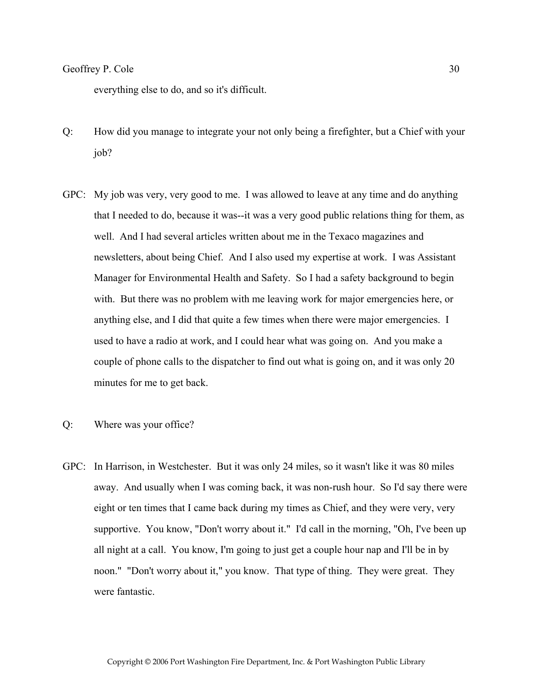everything else to do, and so it's difficult.

- Q: How did you manage to integrate your not only being a firefighter, but a Chief with your job?
- GPC: My job was very, very good to me. I was allowed to leave at any time and do anything that I needed to do, because it was--it was a very good public relations thing for them, as well. And I had several articles written about me in the Texaco magazines and newsletters, about being Chief. And I also used my expertise at work. I was Assistant Manager for Environmental Health and Safety. So I had a safety background to begin with. But there was no problem with me leaving work for major emergencies here, or anything else, and I did that quite a few times when there were major emergencies. I used to have a radio at work, and I could hear what was going on. And you make a couple of phone calls to the dispatcher to find out what is going on, and it was only 20 minutes for me to get back.
- Q: Where was your office?
- GPC: In Harrison, in Westchester. But it was only 24 miles, so it wasn't like it was 80 miles away. And usually when I was coming back, it was non-rush hour. So I'd say there were eight or ten times that I came back during my times as Chief, and they were very, very supportive. You know, "Don't worry about it." I'd call in the morning, "Oh, I've been up all night at a call. You know, I'm going to just get a couple hour nap and I'll be in by noon." "Don't worry about it," you know. That type of thing. They were great. They were fantastic.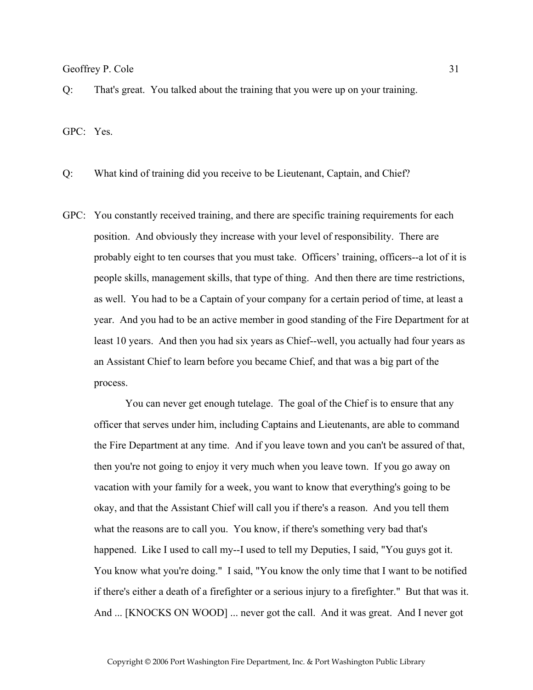Q: That's great. You talked about the training that you were up on your training.

GPC: Yes.

Q: What kind of training did you receive to be Lieutenant, Captain, and Chief?

GPC: You constantly received training, and there are specific training requirements for each position. And obviously they increase with your level of responsibility. There are probably eight to ten courses that you must take. Officers' training, officers--a lot of it is people skills, management skills, that type of thing. And then there are time restrictions, as well. You had to be a Captain of your company for a certain period of time, at least a year. And you had to be an active member in good standing of the Fire Department for at least 10 years. And then you had six years as Chief--well, you actually had four years as an Assistant Chief to learn before you became Chief, and that was a big part of the process.

 You can never get enough tutelage. The goal of the Chief is to ensure that any officer that serves under him, including Captains and Lieutenants, are able to command the Fire Department at any time. And if you leave town and you can't be assured of that, then you're not going to enjoy it very much when you leave town. If you go away on vacation with your family for a week, you want to know that everything's going to be okay, and that the Assistant Chief will call you if there's a reason. And you tell them what the reasons are to call you. You know, if there's something very bad that's happened. Like I used to call my--I used to tell my Deputies, I said, "You guys got it. You know what you're doing." I said, "You know the only time that I want to be notified if there's either a death of a firefighter or a serious injury to a firefighter." But that was it. And ... [KNOCKS ON WOOD] ... never got the call. And it was great. And I never got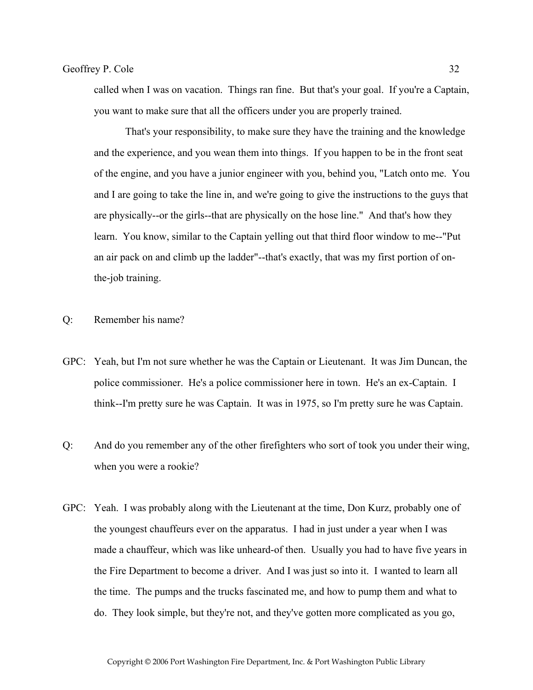called when I was on vacation. Things ran fine. But that's your goal. If you're a Captain, you want to make sure that all the officers under you are properly trained.

 That's your responsibility, to make sure they have the training and the knowledge and the experience, and you wean them into things. If you happen to be in the front seat of the engine, and you have a junior engineer with you, behind you, "Latch onto me. You and I are going to take the line in, and we're going to give the instructions to the guys that are physically--or the girls--that are physically on the hose line." And that's how they learn. You know, similar to the Captain yelling out that third floor window to me--"Put an air pack on and climb up the ladder"--that's exactly, that was my first portion of onthe-job training.

- Q: Remember his name?
- GPC: Yeah, but I'm not sure whether he was the Captain or Lieutenant. It was Jim Duncan, the police commissioner. He's a police commissioner here in town. He's an ex-Captain. I think--I'm pretty sure he was Captain. It was in 1975, so I'm pretty sure he was Captain.
- Q: And do you remember any of the other firefighters who sort of took you under their wing, when you were a rookie?
- GPC: Yeah. I was probably along with the Lieutenant at the time, Don Kurz, probably one of the youngest chauffeurs ever on the apparatus. I had in just under a year when I was made a chauffeur, which was like unheard-of then. Usually you had to have five years in the Fire Department to become a driver. And I was just so into it. I wanted to learn all the time. The pumps and the trucks fascinated me, and how to pump them and what to do. They look simple, but they're not, and they've gotten more complicated as you go,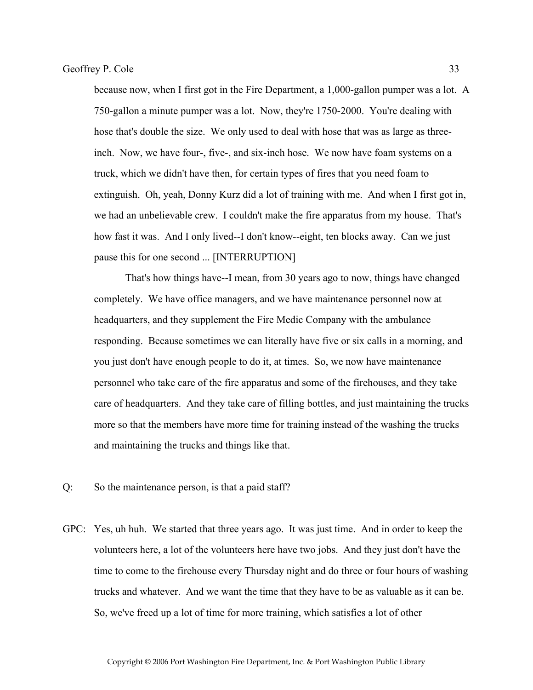because now, when I first got in the Fire Department, a 1,000-gallon pumper was a lot. A 750-gallon a minute pumper was a lot. Now, they're 1750-2000. You're dealing with hose that's double the size. We only used to deal with hose that was as large as threeinch. Now, we have four-, five-, and six-inch hose. We now have foam systems on a truck, which we didn't have then, for certain types of fires that you need foam to extinguish. Oh, yeah, Donny Kurz did a lot of training with me. And when I first got in, we had an unbelievable crew. I couldn't make the fire apparatus from my house. That's how fast it was. And I only lived--I don't know--eight, ten blocks away. Can we just pause this for one second ... [INTERRUPTION]

 That's how things have--I mean, from 30 years ago to now, things have changed completely. We have office managers, and we have maintenance personnel now at headquarters, and they supplement the Fire Medic Company with the ambulance responding. Because sometimes we can literally have five or six calls in a morning, and you just don't have enough people to do it, at times. So, we now have maintenance personnel who take care of the fire apparatus and some of the firehouses, and they take care of headquarters. And they take care of filling bottles, and just maintaining the trucks more so that the members have more time for training instead of the washing the trucks and maintaining the trucks and things like that.

- Q: So the maintenance person, is that a paid staff?
- GPC: Yes, uh huh. We started that three years ago. It was just time. And in order to keep the volunteers here, a lot of the volunteers here have two jobs. And they just don't have the time to come to the firehouse every Thursday night and do three or four hours of washing trucks and whatever. And we want the time that they have to be as valuable as it can be. So, we've freed up a lot of time for more training, which satisfies a lot of other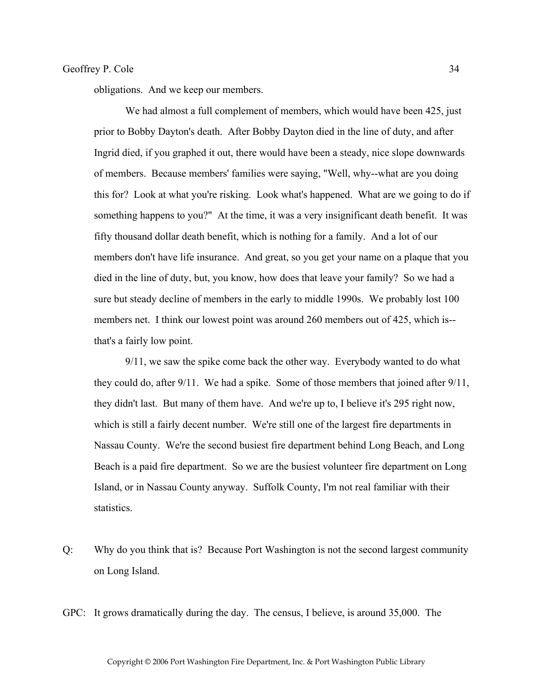obligations. And we keep our members.

We had almost a full complement of members, which would have been 425, just prior to Bobby Dayton's death. After Bobby Dayton died in the line of duty, and after Ingrid died, if you graphed it out, there would have been a steady, nice slope downwards of members. Because members' families were saying, "Well, why--what are you doing this for? Look at what you're risking. Look what's happened. What are we going to do if something happens to you?" At the time, it was a very insignificant death benefit. It was fifty thousand dollar death benefit, which is nothing for a family. And a lot of our members don't have life insurance. And great, so you get your name on a plaque that you died in the line of duty, but, you know, how does that leave your family? So we had a sure but steady decline of members in the early to middle 1990s. We probably lost 100 members net. I think our lowest point was around 260 members out of 425, which is- that's a fairly low point.

 9/11, we saw the spike come back the other way. Everybody wanted to do what they could do, after 9/11. We had a spike. Some of those members that joined after 9/11, they didn't last. But many of them have. And we're up to, I believe it's 295 right now, which is still a fairly decent number. We're still one of the largest fire departments in Nassau County. We're the second busiest fire department behind Long Beach, and Long Beach is a paid fire department. So we are the busiest volunteer fire department on Long Island, or in Nassau County anyway. Suffolk County, I'm not real familiar with their statistics.

Q: Why do you think that is? Because Port Washington is not the second largest community on Long Island.

GPC: It grows dramatically during the day. The census, I believe, is around 35,000. The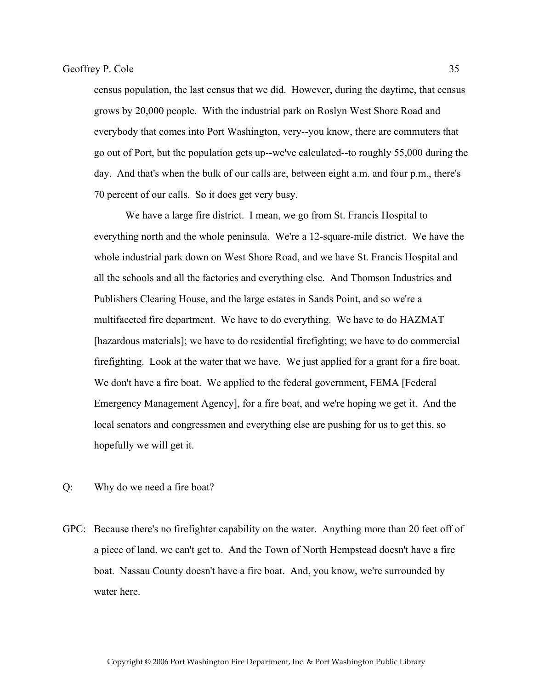census population, the last census that we did. However, during the daytime, that census grows by 20,000 people. With the industrial park on Roslyn West Shore Road and everybody that comes into Port Washington, very--you know, there are commuters that go out of Port, but the population gets up--we've calculated--to roughly 55,000 during the day. And that's when the bulk of our calls are, between eight a.m. and four p.m., there's 70 percent of our calls. So it does get very busy.

 We have a large fire district. I mean, we go from St. Francis Hospital to everything north and the whole peninsula. We're a 12-square-mile district. We have the whole industrial park down on West Shore Road, and we have St. Francis Hospital and all the schools and all the factories and everything else. And Thomson Industries and Publishers Clearing House, and the large estates in Sands Point, and so we're a multifaceted fire department. We have to do everything. We have to do HAZMAT [hazardous materials]; we have to do residential firefighting; we have to do commercial firefighting. Look at the water that we have. We just applied for a grant for a fire boat. We don't have a fire boat. We applied to the federal government, FEMA [Federal Emergency Management Agency], for a fire boat, and we're hoping we get it. And the local senators and congressmen and everything else are pushing for us to get this, so hopefully we will get it.

- Q: Why do we need a fire boat?
- GPC: Because there's no firefighter capability on the water. Anything more than 20 feet off of a piece of land, we can't get to. And the Town of North Hempstead doesn't have a fire boat. Nassau County doesn't have a fire boat. And, you know, we're surrounded by water here.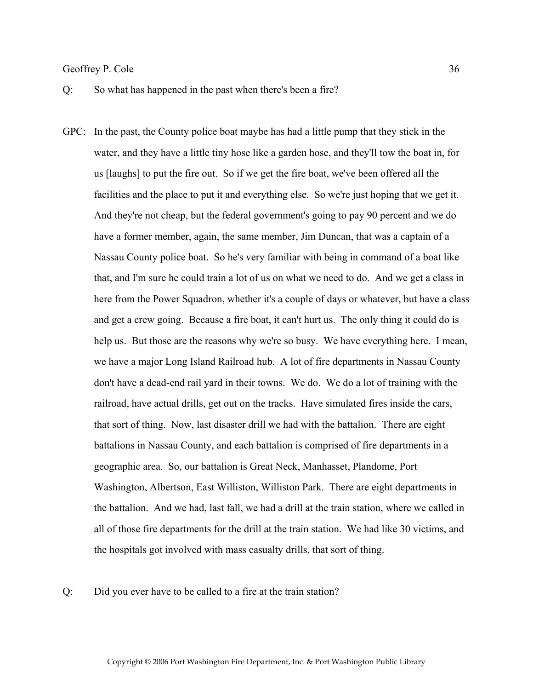- Q: So what has happened in the past when there's been a fire?
- GPC: In the past, the County police boat maybe has had a little pump that they stick in the water, and they have a little tiny hose like a garden hose, and they'll tow the boat in, for us [laughs] to put the fire out. So if we get the fire boat, we've been offered all the facilities and the place to put it and everything else. So we're just hoping that we get it. And they're not cheap, but the federal government's going to pay 90 percent and we do have a former member, again, the same member, Jim Duncan, that was a captain of a Nassau County police boat. So he's very familiar with being in command of a boat like that, and I'm sure he could train a lot of us on what we need to do. And we get a class in here from the Power Squadron, whether it's a couple of days or whatever, but have a class and get a crew going. Because a fire boat, it can't hurt us. The only thing it could do is help us. But those are the reasons why we're so busy. We have everything here. I mean, we have a major Long Island Railroad hub. A lot of fire departments in Nassau County don't have a dead-end rail yard in their towns. We do. We do a lot of training with the railroad, have actual drills, get out on the tracks. Have simulated fires inside the cars, that sort of thing. Now, last disaster drill we had with the battalion. There are eight battalions in Nassau County, and each battalion is comprised of fire departments in a geographic area. So, our battalion is Great Neck, Manhasset, Plandome, Port Washington, Albertson, East Williston, Williston Park. There are eight departments in the battalion. And we had, last fall, we had a drill at the train station, where we called in all of those fire departments for the drill at the train station. We had like 30 victims, and the hospitals got involved with mass casualty drills, that sort of thing.

#### Q: Did you ever have to be called to a fire at the train station?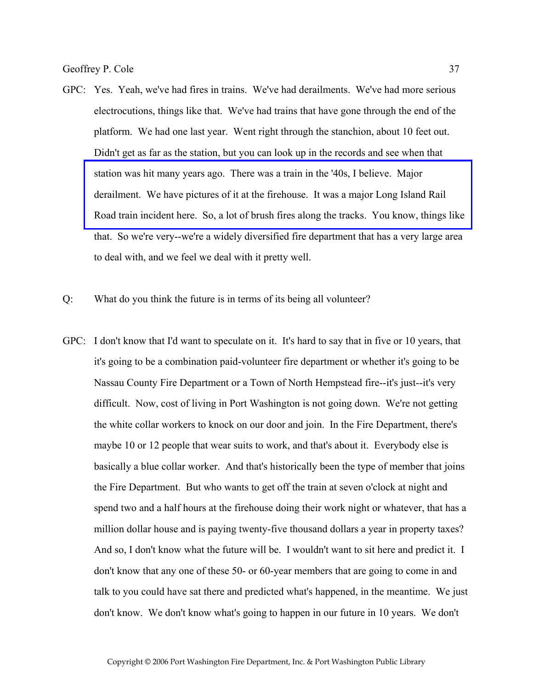- GPC: Yes. Yeah, we've had fires in trains. We've had derailments. We've had more serious electrocutions, things like that. We've had trains that have gone through the end of the platform. We had one last year. Went right through the stanchion, about 10 feet out. Didn't get as far as the station, but you can look up in the records and see when that station was hit many years ago. There was a train in the '40s, I believe. Major derailment. We have pictures of it at the firehouse. It was a major Long Island Rail [Road train incident here. So, a lot of brush fires along the tracks. You know, things like](http://www.pwfdhistory.com/trans/coleg_trans/peco_fires014_web.jpg)  that. So we're very--we're a widely diversified fire department that has a very large area to deal with, and we feel we deal with it pretty well.
- Q: What do you think the future is in terms of its being all volunteer?
- GPC: I don't know that I'd want to speculate on it. It's hard to say that in five or 10 years, that it's going to be a combination paid-volunteer fire department or whether it's going to be Nassau County Fire Department or a Town of North Hempstead fire--it's just--it's very difficult. Now, cost of living in Port Washington is not going down. We're not getting the white collar workers to knock on our door and join. In the Fire Department, there's maybe 10 or 12 people that wear suits to work, and that's about it. Everybody else is basically a blue collar worker. And that's historically been the type of member that joins the Fire Department. But who wants to get off the train at seven o'clock at night and spend two and a half hours at the firehouse doing their work night or whatever, that has a million dollar house and is paying twenty-five thousand dollars a year in property taxes? And so, I don't know what the future will be. I wouldn't want to sit here and predict it. I don't know that any one of these 50- or 60-year members that are going to come in and talk to you could have sat there and predicted what's happened, in the meantime. We just don't know. We don't know what's going to happen in our future in 10 years. We don't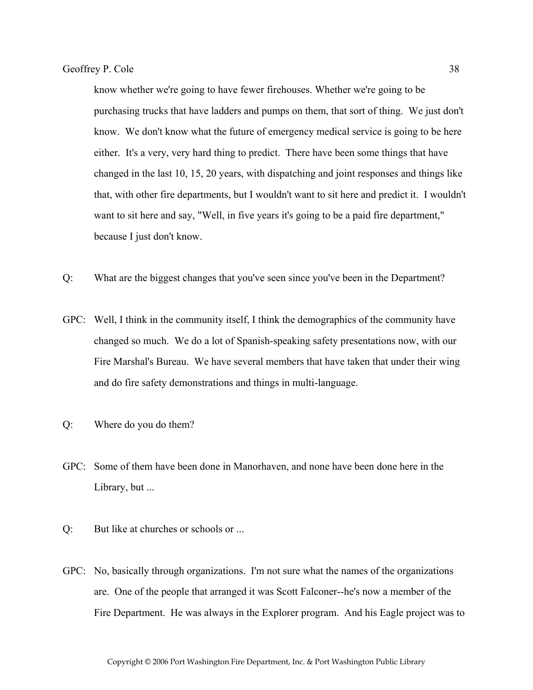know whether we're going to have fewer firehouses. Whether we're going to be purchasing trucks that have ladders and pumps on them, that sort of thing. We just don't know. We don't know what the future of emergency medical service is going to be here either. It's a very, very hard thing to predict. There have been some things that have changed in the last 10, 15, 20 years, with dispatching and joint responses and things like that, with other fire departments, but I wouldn't want to sit here and predict it. I wouldn't want to sit here and say, "Well, in five years it's going to be a paid fire department," because I just don't know.

- Q: What are the biggest changes that you've seen since you've been in the Department?
- GPC: Well, I think in the community itself, I think the demographics of the community have changed so much. We do a lot of Spanish-speaking safety presentations now, with our Fire Marshal's Bureau. We have several members that have taken that under their wing and do fire safety demonstrations and things in multi-language.
- Q: Where do you do them?
- GPC: Some of them have been done in Manorhaven, and none have been done here in the Library, but ...
- Q: But like at churches or schools or ...
- GPC: No, basically through organizations. I'm not sure what the names of the organizations are. One of the people that arranged it was Scott Falconer--he's now a member of the Fire Department. He was always in the Explorer program. And his Eagle project was to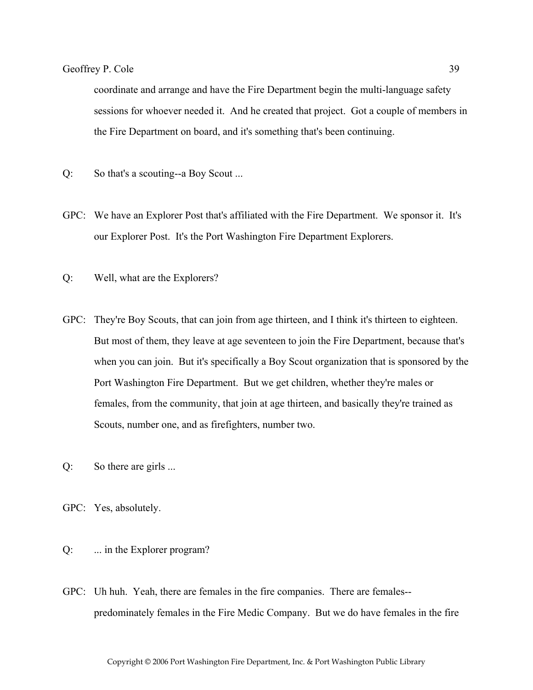coordinate and arrange and have the Fire Department begin the multi-language safety sessions for whoever needed it. And he created that project. Got a couple of members in the Fire Department on board, and it's something that's been continuing.

- Q: So that's a scouting--a Boy Scout ...
- GPC: We have an Explorer Post that's affiliated with the Fire Department. We sponsor it. It's our Explorer Post. It's the Port Washington Fire Department Explorers.
- Q: Well, what are the Explorers?
- GPC: They're Boy Scouts, that can join from age thirteen, and I think it's thirteen to eighteen. But most of them, they leave at age seventeen to join the Fire Department, because that's when you can join. But it's specifically a Boy Scout organization that is sponsored by the Port Washington Fire Department. But we get children, whether they're males or females, from the community, that join at age thirteen, and basically they're trained as Scouts, number one, and as firefighters, number two.
- Q: So there are girls ...
- GPC: Yes, absolutely.
- Q: ... in the Explorer program?
- GPC: Uh huh. Yeah, there are females in the fire companies. There are females- predominately females in the Fire Medic Company. But we do have females in the fire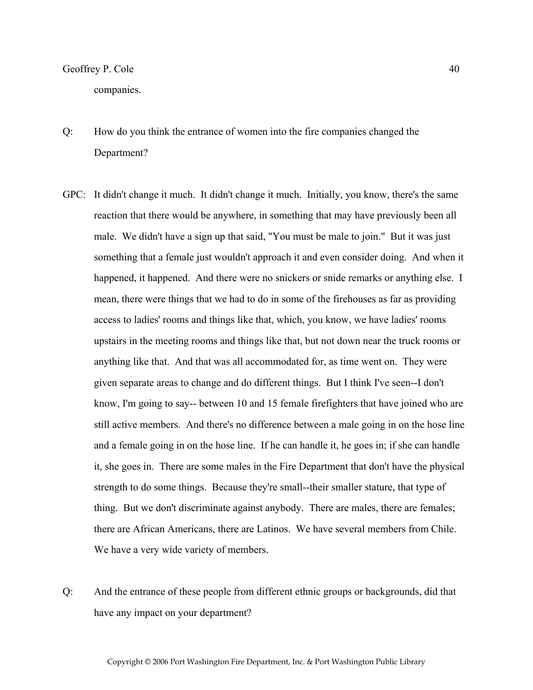companies.

- Q: How do you think the entrance of women into the fire companies changed the Department?
- GPC: It didn't change it much. It didn't change it much. Initially, you know, there's the same reaction that there would be anywhere, in something that may have previously been all male. We didn't have a sign up that said, "You must be male to join." But it was just something that a female just wouldn't approach it and even consider doing. And when it happened, it happened. And there were no snickers or snide remarks or anything else. I mean, there were things that we had to do in some of the firehouses as far as providing access to ladies' rooms and things like that, which, you know, we have ladies' rooms upstairs in the meeting rooms and things like that, but not down near the truck rooms or anything like that. And that was all accommodated for, as time went on. They were given separate areas to change and do different things. But I think I've seen--I don't know, I'm going to say-- between 10 and 15 female firefighters that have joined who are still active members. And there's no difference between a male going in on the hose line and a female going in on the hose line. If he can handle it, he goes in; if she can handle it, she goes in. There are some males in the Fire Department that don't have the physical strength to do some things. Because they're small--their smaller stature, that type of thing. But we don't discriminate against anybody. There are males, there are females; there are African Americans, there are Latinos. We have several members from Chile. We have a very wide variety of members.
- Q: And the entrance of these people from different ethnic groups or backgrounds, did that have any impact on your department?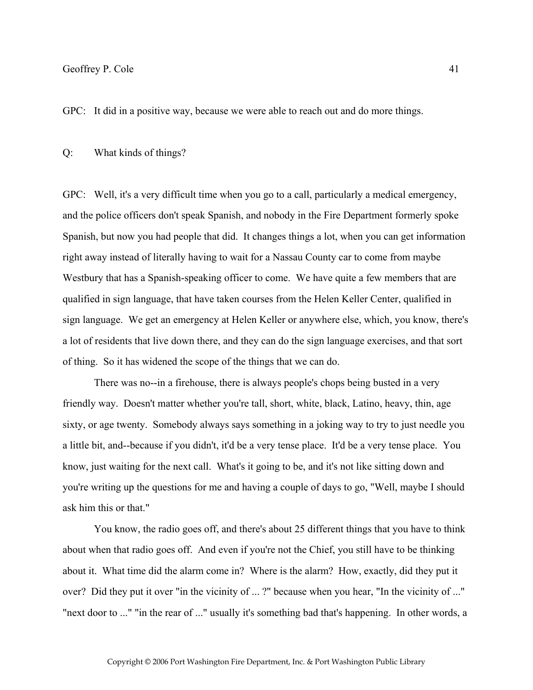GPC: It did in a positive way, because we were able to reach out and do more things.

#### Q: What kinds of things?

GPC: Well, it's a very difficult time when you go to a call, particularly a medical emergency, and the police officers don't speak Spanish, and nobody in the Fire Department formerly spoke Spanish, but now you had people that did. It changes things a lot, when you can get information right away instead of literally having to wait for a Nassau County car to come from maybe Westbury that has a Spanish-speaking officer to come. We have quite a few members that are qualified in sign language, that have taken courses from the Helen Keller Center, qualified in sign language. We get an emergency at Helen Keller or anywhere else, which, you know, there's a lot of residents that live down there, and they can do the sign language exercises, and that sort of thing. So it has widened the scope of the things that we can do.

 There was no--in a firehouse, there is always people's chops being busted in a very friendly way. Doesn't matter whether you're tall, short, white, black, Latino, heavy, thin, age sixty, or age twenty. Somebody always says something in a joking way to try to just needle you a little bit, and--because if you didn't, it'd be a very tense place. It'd be a very tense place. You know, just waiting for the next call. What's it going to be, and it's not like sitting down and you're writing up the questions for me and having a couple of days to go, "Well, maybe I should ask him this or that."

 You know, the radio goes off, and there's about 25 different things that you have to think about when that radio goes off. And even if you're not the Chief, you still have to be thinking about it. What time did the alarm come in? Where is the alarm? How, exactly, did they put it over? Did they put it over "in the vicinity of ... ?" because when you hear, "In the vicinity of ..." "next door to ..." "in the rear of ..." usually it's something bad that's happening. In other words, a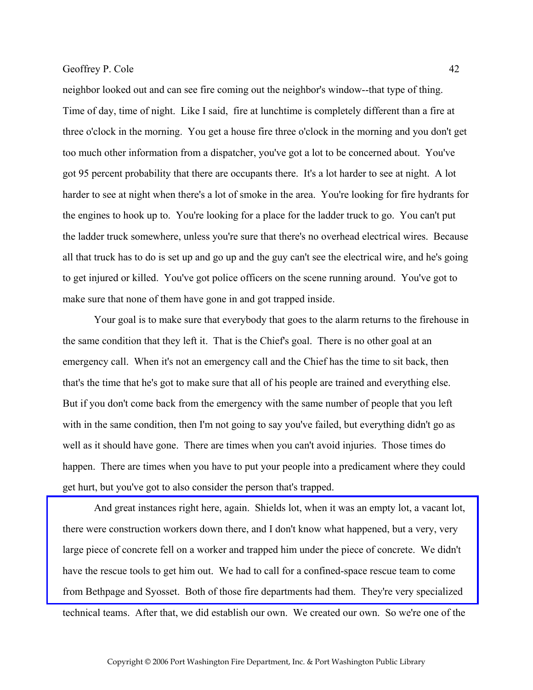neighbor looked out and can see fire coming out the neighbor's window--that type of thing. Time of day, time of night. Like I said, fire at lunchtime is completely different than a fire at three o'clock in the morning. You get a house fire three o'clock in the morning and you don't get too much other information from a dispatcher, you've got a lot to be concerned about. You've got 95 percent probability that there are occupants there. It's a lot harder to see at night. A lot harder to see at night when there's a lot of smoke in the area. You're looking for fire hydrants for the engines to hook up to. You're looking for a place for the ladder truck to go. You can't put the ladder truck somewhere, unless you're sure that there's no overhead electrical wires. Because all that truck has to do is set up and go up and the guy can't see the electrical wire, and he's going to get injured or killed. You've got police officers on the scene running around. You've got to make sure that none of them have gone in and got trapped inside.

 Your goal is to make sure that everybody that goes to the alarm returns to the firehouse in the same condition that they left it. That is the Chief's goal. There is no other goal at an emergency call. When it's not an emergency call and the Chief has the time to sit back, then that's the time that he's got to make sure that all of his people are trained and everything else. But if you don't come back from the emergency with the same number of people that you left with in the same condition, then I'm not going to say you've failed, but everything didn't go as well as it should have gone. There are times when you can't avoid injuries. Those times do happen. There are times when you have to put your people into a predicament where they could get hurt, but you've got to also consider the person that's trapped.

 [And great instances right here, again. Shields lot, when it was an empty lot, a vacant lot,](http://www.pwfdhistory.com/trans/coleg_trans/nday_960820_pz_web.jpg)  there were construction workers down there, and I don't know what happened, but a very, very large piece of concrete fell on a worker and trapped him under the piece of concrete. We didn't have the rescue tools to get him out. We had to call for a confined-space rescue team to come from Bethpage and Syosset. Both of those fire departments had them. They're very specialized technical teams. After that, we did establish our own. We created our own. So we're one of the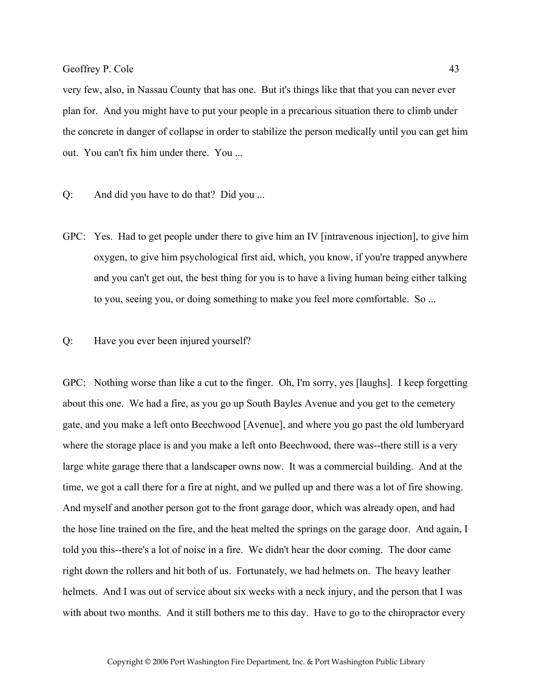very few, also, in Nassau County that has one. But it's things like that that you can never ever plan for. And you might have to put your people in a precarious situation there to climb under the concrete in danger of collapse in order to stabilize the person medically until you can get him out. You can't fix him under there. You ...

- Q: And did you have to do that? Did you ...
- GPC: Yes. Had to get people under there to give him an IV [intravenous injection], to give him oxygen, to give him psychological first aid, which, you know, if you're trapped anywhere and you can't get out, the best thing for you is to have a living human being either talking to you, seeing you, or doing something to make you feel more comfortable. So ...
- Q: Have you ever been injured yourself?

GPC: Nothing worse than like a cut to the finger. Oh, I'm sorry, yes [laughs]. I keep forgetting about this one. We had a fire, as you go up South Bayles Avenue and you get to the cemetery gate, and you make a left onto Beechwood [Avenue], and where you go past the old lumberyard where the storage place is and you make a left onto Beechwood, there was--there still is a very large white garage there that a landscaper owns now. It was a commercial building. And at the time, we got a call there for a fire at night, and we pulled up and there was a lot of fire showing. And myself and another person got to the front garage door, which was already open, and had the hose line trained on the fire, and the heat melted the springs on the garage door. And again, I told you this--there's a lot of noise in a fire. We didn't hear the door coming. The door came right down the rollers and hit both of us. Fortunately, we had helmets on. The heavy leather helmets. And I was out of service about six weeks with a neck injury, and the person that I was with about two months. And it still bothers me to this day. Have to go to the chiropractor every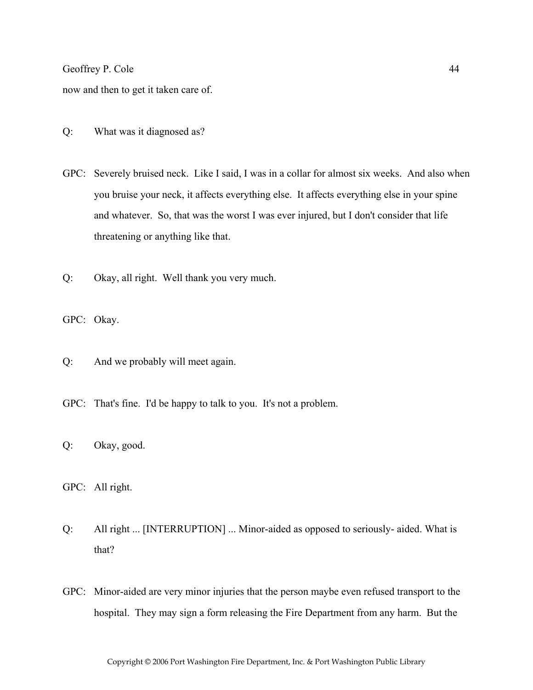now and then to get it taken care of.

- Q: What was it diagnosed as?
- GPC: Severely bruised neck. Like I said, I was in a collar for almost six weeks. And also when you bruise your neck, it affects everything else. It affects everything else in your spine and whatever. So, that was the worst I was ever injured, but I don't consider that life threatening or anything like that.
- Q: Okay, all right. Well thank you very much.
- GPC: Okay.
- Q: And we probably will meet again.
- GPC: That's fine. I'd be happy to talk to you. It's not a problem.
- Q: Okay, good.
- GPC: All right.
- Q: All right ... [INTERRUPTION] ... Minor-aided as opposed to seriously- aided. What is that?
- GPC: Minor-aided are very minor injuries that the person maybe even refused transport to the hospital. They may sign a form releasing the Fire Department from any harm. But the